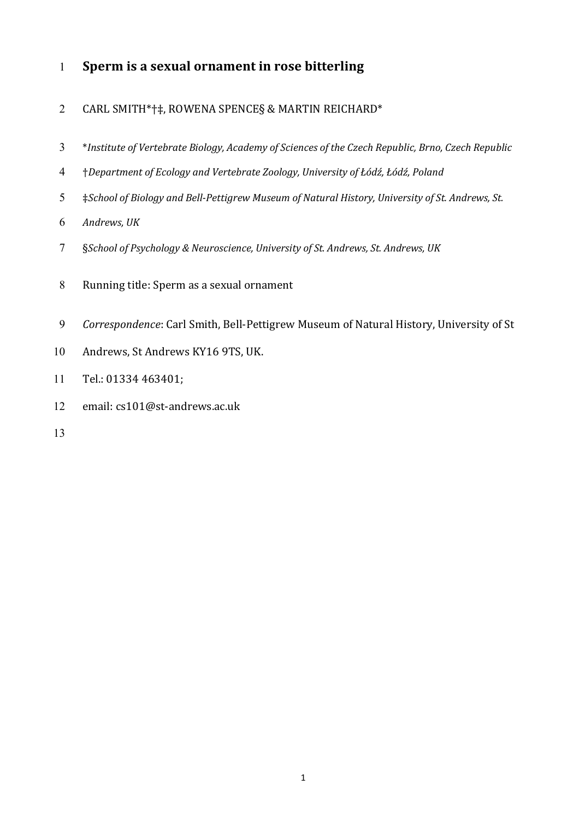## 1 **Sperm is a sexual ornament in rose bitterling**

## 2 CARL SMITH\*†‡, ROWENA SPENCE§ & MARTIN REICHARD\*

- 3 \**Institute of Vertebrate Biology, Academy of Sciences of the Czech Republic, Brno, Czech Republic*
- 4 †*Department of Ecology and Vertebrate Zoology, University of Łódź, Łódź, Poland*
- 5  $\#$ School of Biology and Bell-Pettigrew Museum of Natural History, University of St. Andrews, St.
- 6 Andrews, UK
- 7 §*School of Psychology & Neuroscience, University of St. Andrews, St. Andrews, UK*
- 8 Running title: Sperm as a sexual ornament
- 9 Correspondence: Carl Smith, Bell-Pettigrew Museum of Natural History, University of St
- 10 Andrews, St Andrews KY16 9TS, UK.
- 11 Tel.: 01334 463401;
- 12 email: cs101@st-andrews.ac.uk
- 13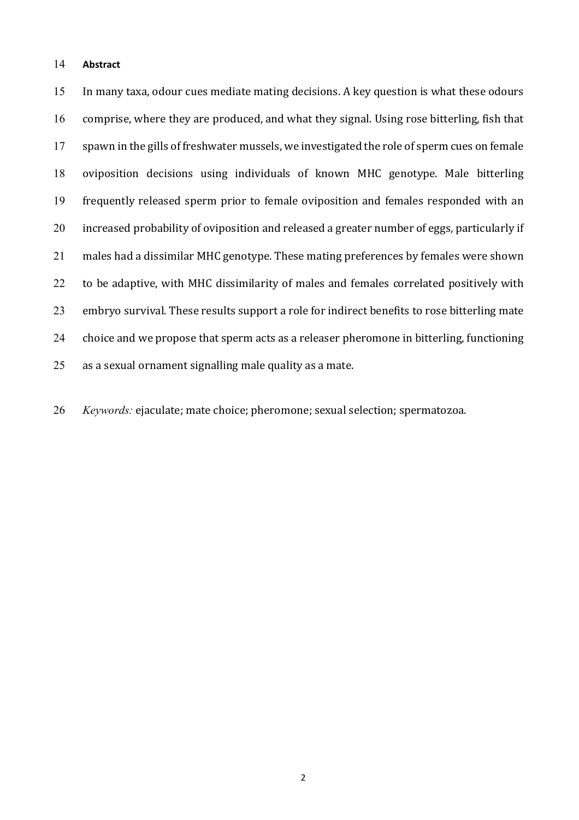#### 14 **Abstract**

15 In many taxa, odour cues mediate mating decisions. A key question is what these odours 16 comprise, where they are produced, and what they signal. Using rose bitterling, fish that 17 spawn in the gills of freshwater mussels, we investigated the role of sperm cues on female 18 oviposition decisions using individuals of known MHC genotype. Male bitterling 19 frequently released sperm prior to female oviposition and females responded with an 20 increased probability of oviposition and released a greater number of eggs, particularly if 21 males had a dissimilar MHC genotype. These mating preferences by females were shown 22 to be adaptive, with MHC dissimilarity of males and females correlated positively with 23 embryo survival. These results support a role for indirect benefits to rose bitterling mate 24 choice and we propose that sperm acts as a releaser pheromone in bitterling, functioning  $25$  as a sexual ornament signalling male quality as a mate.

26 *Keywords:* ejaculate; mate choice; pheromone; sexual selection; spermatozoa.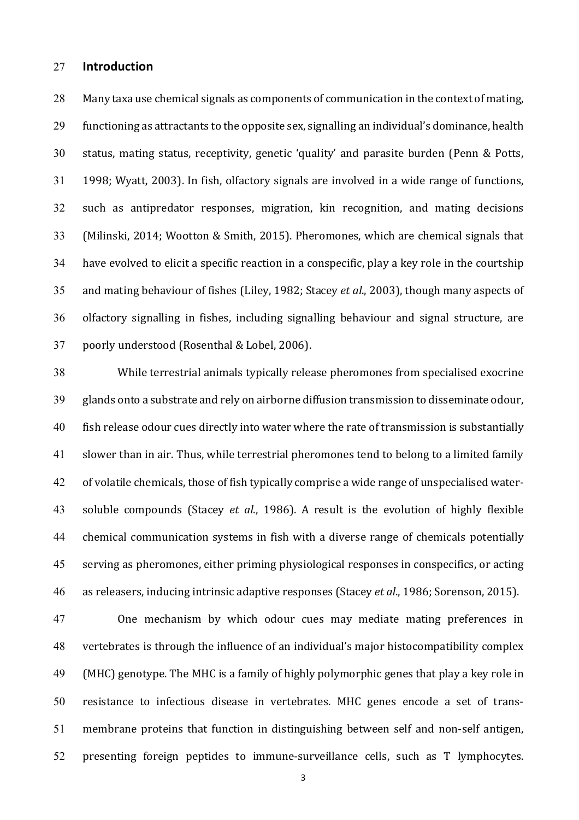#### 27 **Introduction**

28 Many taxa use chemical signals as components of communication in the context of mating, 29 functioning as attractants to the opposite sex, signalling an individual's dominance, health 30 status, mating status, receptivity, genetic 'quality' and parasite burden (Penn & Potts, 31 1998; Wyatt, 2003). In fish, olfactory signals are involved in a wide range of functions, 32 such as antipredator responses, migration, kin recognition, and mating decisions 33 (Milinski, 2014; Wootton & Smith, 2015). Pheromones, which are chemical signals that 34 have evolved to elicit a specific reaction in a conspecific, play a key role in the courtship 35 and mating behaviour of fishes (Liley, 1982; Stacey *et al.*, 2003), though many aspects of 36 olfactory signalling in fishes, including signalling behaviour and signal structure, are 37 poorly understood (Rosenthal & Lobel, 2006).

38 While terrestrial animals typically release pheromones from specialised exocrine 39 glands onto a substrate and rely on airborne diffusion transmission to disseminate odour, 40 fish release odour cues directly into water where the rate of transmission is substantially 41 slower than in air. Thus, while terrestrial pheromones tend to belong to a limited family 42 of volatile chemicals, those of fish typically comprise a wide range of unspecialised water-43 soluble compounds (Stacey *et al.*, 1986). A result is the evolution of highly flexible 44 chemical communication systems in fish with a diverse range of chemicals potentially 45 serving as pheromones, either priming physiological responses in conspecifics, or acting 46 as releasers, inducing intrinsic adaptive responses (Stacey *et al.*, 1986; Sorenson, 2015).

47 One mechanism by which odour cues may mediate mating preferences in 48 vertebrates is through the influence of an individual's major histocompatibility complex 49 (MHC) genotype. The MHC is a family of highly polymorphic genes that play a key role in 50 resistance to infectious disease in vertebrates. MHC genes encode a set of trans-51 membrane proteins that function in distinguishing between self and non-self antigen, 52 presenting foreign peptides to immune-surveillance cells, such as T lymphocytes.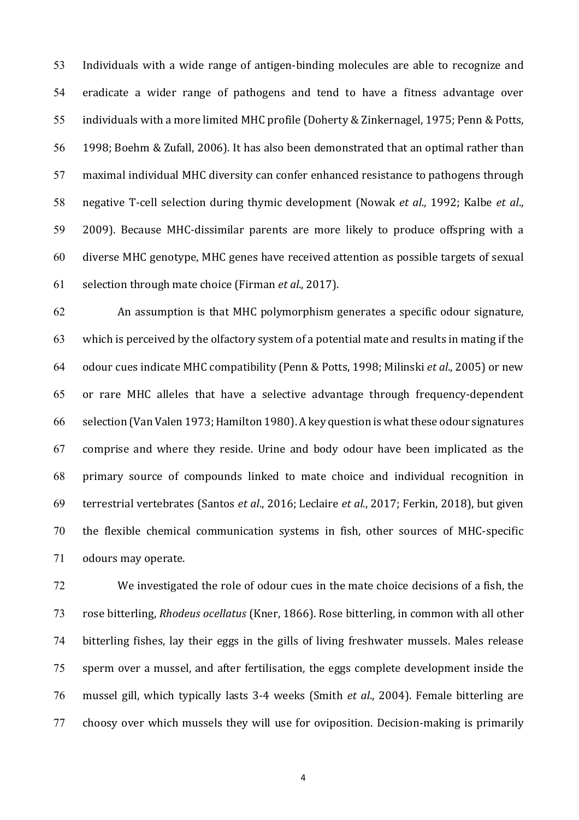53 Individuals with a wide range of antigen-binding molecules are able to recognize and 54 eradicate a wider range of pathogens and tend to have a fitness advantage over 55 individuals with a more limited MHC profile (Doherty & Zinkernagel, 1975; Penn & Potts, 56 1998; Boehm & Zufall, 2006). It has also been demonstrated that an optimal rather than 57 maximal individual MHC diversity can confer enhanced resistance to pathogens through 58 negative T-cell selection during thymic development (Nowak *et al.*, 1992; Kalbe *et al.*, 59 2009). Because MHC-dissimilar parents are more likely to produce offspring with a 60 diverse MHC genotype, MHC genes have received attention as possible targets of sexual 61 selection through mate choice (Firman *et al*., 2017). 

62 An assumption is that MHC polymorphism generates a specific odour signature, 63 which is perceived by the olfactory system of a potential mate and results in mating if the 64 odour cues indicate MHC compatibility (Penn & Potts, 1998; Milinski *et al.*, 2005) or new 65 or rare MHC alleles that have a selective advantage through frequency-dependent 66 selection (Van Valen 1973; Hamilton 1980). A key question is what these odour signatures 67 comprise and where they reside. Urine and body odour have been implicated as the 68 primary source of compounds linked to mate choice and individual recognition in 69 terrestrial vertebrates (Santos *et al*., 2016; Leclaire *et al*., 2017; Ferkin, 2018), but given 70 the flexible chemical communication systems in fish, other sources of MHC-specific 71 odours may operate.

72 We investigated the role of odour cues in the mate choice decisions of a fish, the 73 rose bitterling, *Rhodeus ocellatus* (Kner, 1866). Rose bitterling, in common with all other 74 bitterling fishes, lay their eggs in the gills of living freshwater mussels. Males release 75 sperm over a mussel, and after fertilisation, the eggs complete development inside the 76 mussel gill, which typically lasts 3-4 weeks (Smith *et al.*, 2004). Female bitterling are 77 choosy over which mussels they will use for oviposition. Decision-making is primarily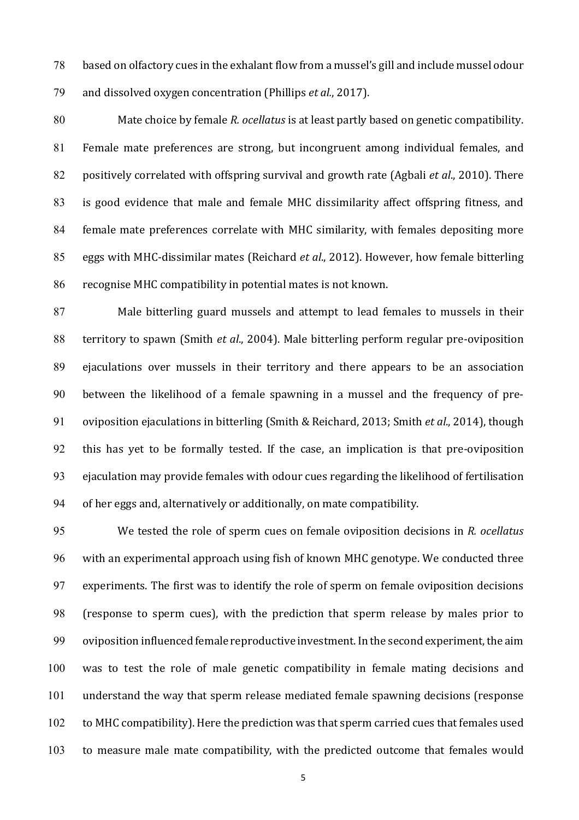78 based on olfactory cues in the exhalant flow from a mussel's gill and include mussel odour 79 and dissolved oxygen concentration (Phillips *et al.*, 2017).

80 Mate choice by female *R. ocellatus* is at least partly based on genetic compatibility. 81 Female mate preferences are strong, but incongruent among individual females, and 82 positively correlated with offspring survival and growth rate (Agbali *et al.*, 2010). There 83 is good evidence that male and female MHC dissimilarity affect offspring fitness, and 84 female mate preferences correlate with MHC similarity, with females depositing more 85 eggs with MHC-dissimilar mates (Reichard *et al.*, 2012). However, how female bitterling 86 recognise MHC compatibility in potential mates is not known.

87 Male bitterling guard mussels and attempt to lead females to mussels in their 88 territory to spawn (Smith *et al.*, 2004). Male bitterling perform regular pre-oviposition 89 ejaculations over mussels in their territory and there appears to be an association 90 between the likelihood of a female spawning in a mussel and the frequency of pre-91 oviposition ejaculations in bitterling (Smith & Reichard, 2013; Smith *et al.*, 2014), though 92 this has yet to be formally tested. If the case, an implication is that pre-oviposition 93 ejaculation may provide females with odour cues regarding the likelihood of fertilisation 94 of her eggs and, alternatively or additionally, on mate compatibility.

95 We tested the role of sperm cues on female oviposition decisions in *R. ocellatus* 96 with an experimental approach using fish of known MHC genotype. We conducted three 97 experiments. The first was to identify the role of sperm on female oviposition decisions 98 (response to sperm cues), with the prediction that sperm release by males prior to 99 oviposition influenced female reproductive investment. In the second experiment, the aim 100 was to test the role of male genetic compatibility in female mating decisions and 101 understand the way that sperm release mediated female spawning decisions (response 102 to MHC compatibility). Here the prediction was that sperm carried cues that females used 103 to measure male mate compatibility, with the predicted outcome that females would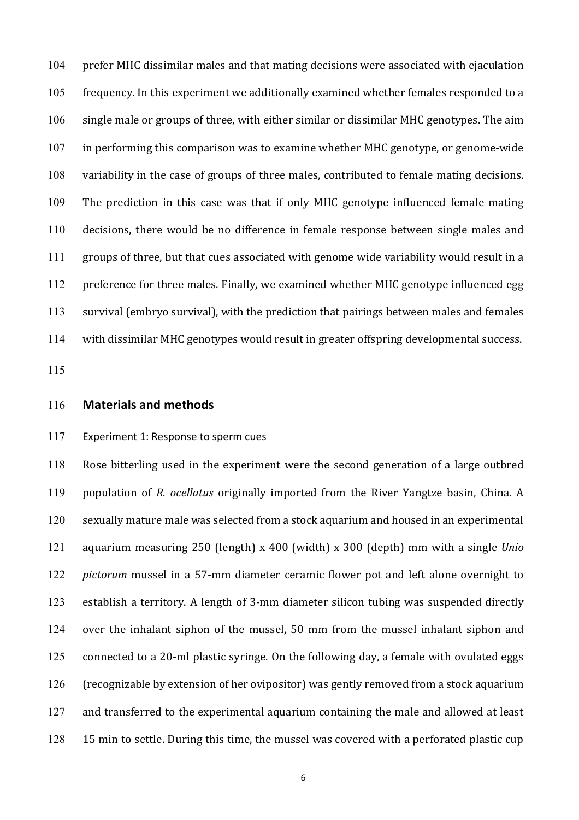104 prefer MHC dissimilar males and that mating decisions were associated with ejaculation 105 frequency. In this experiment we additionally examined whether females responded to a 106 single male or groups of three, with either similar or dissimilar MHC genotypes. The aim  $107$  in performing this comparison was to examine whether MHC genotype, or genome-wide 108 variability in the case of groups of three males, contributed to female mating decisions. 109 The prediction in this case was that if only MHC genotype influenced female mating 110 decisions, there would be no difference in female response between single males and 111 groups of three, but that cues associated with genome wide variability would result in a 112 preference for three males. Finally, we examined whether MHC genotype influenced egg 113 survival (embryo survival), with the prediction that pairings between males and females 114 with dissimilar MHC genotypes would result in greater offspring developmental success.

115

#### 116 **Materials and methods**

#### 117 Experiment 1: Response to sperm cues

118 Rose bitterling used in the experiment were the second generation of a large outbred 119 population of *R. ocellatus* originally imported from the River Yangtze basin, China. A 120 sexually mature male was selected from a stock aquarium and housed in an experimental 121 aquarium measuring 250 (length) x 400 (width) x 300 (depth) mm with a single *Unio* 122 *pictorum* mussel in a 57-mm diameter ceramic flower pot and left alone overnight to 123 establish a territory. A length of 3-mm diameter silicon tubing was suspended directly 124 over the inhalant siphon of the mussel, 50 mm from the mussel inhalant siphon and  $125$  connected to a 20-ml plastic syringe. On the following day, a female with ovulated eggs 126 (recognizable by extension of her ovipositor) was gently removed from a stock aquarium 127 and transferred to the experimental aquarium containing the male and allowed at least 128 15 min to settle. During this time, the mussel was covered with a perforated plastic cup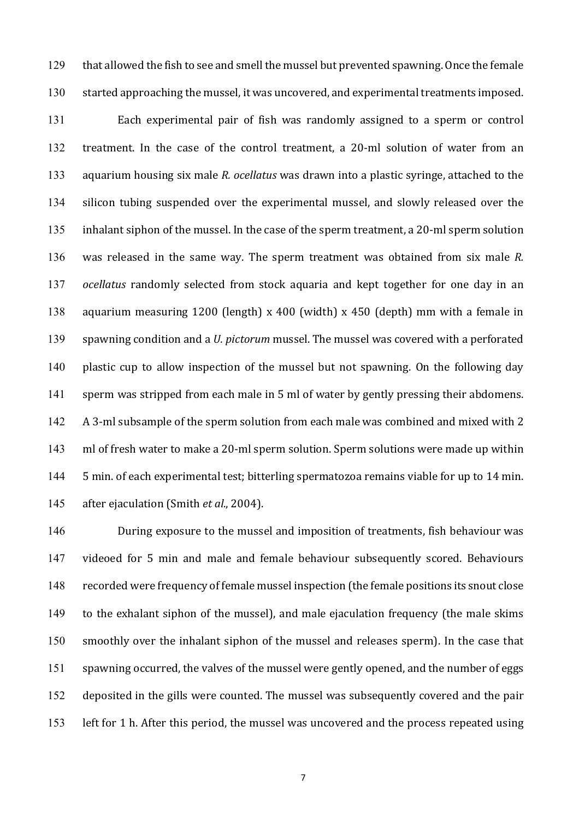129 that allowed the fish to see and smell the mussel but prevented spawning. Once the female 130 started approaching the mussel, it was uncovered, and experimental treatments imposed.

131 Each experimental pair of fish was randomly assigned to a sperm or control 132 treatment. In the case of the control treatment, a 20-ml solution of water from an 133 aquarium housing six male *R. ocellatus* was drawn into a plastic syringe, attached to the 134 silicon tubing suspended over the experimental mussel, and slowly released over the 135 inhalant siphon of the mussel. In the case of the sperm treatment, a 20-ml sperm solution 136 was released in the same way. The sperm treatment was obtained from six male *R*. 137 *ocellatus* randomly selected from stock aquaria and kept together for one day in an 138 aquarium measuring 1200 (length) x 400 (width) x 450 (depth) mm with a female in 139 spawning condition and a *U. pictorum* mussel. The mussel was covered with a perforated 140 plastic cup to allow inspection of the mussel but not spawning. On the following day 141 sperm was stripped from each male in 5 ml of water by gently pressing their abdomens. 142 A 3-ml subsample of the sperm solution from each male was combined and mixed with 2 143 ml of fresh water to make a 20-ml sperm solution. Sperm solutions were made up within 144 5 min. of each experimental test; bitterling spermatozoa remains viable for up to 14 min. 145 after ejaculation (Smith *et al.*, 2004).

146 During exposure to the mussel and imposition of treatments, fish behaviour was 147 videoed for 5 min and male and female behaviour subsequently scored. Behaviours 148 recorded were frequency of female mussel inspection (the female positions its snout close 149 to the exhalant siphon of the mussel), and male ejaculation frequency (the male skims 150 smoothly over the inhalant siphon of the mussel and releases sperm). In the case that 151 spawning occurred, the valves of the mussel were gently opened, and the number of eggs 152 deposited in the gills were counted. The mussel was subsequently covered and the pair 153 left for 1 h. After this period, the mussel was uncovered and the process repeated using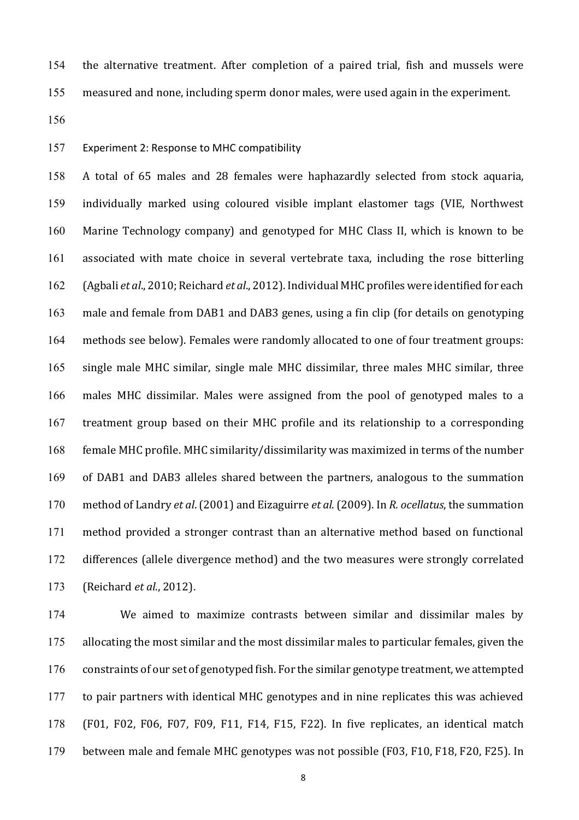154 the alternative treatment. After completion of a paired trial, fish and mussels were

155 measured and none, including sperm donor males, were used again in the experiment.

156

## 157 Experiment 2: Response to MHC compatibility

158 A total of 65 males and 28 females were haphazardly selected from stock aquaria, 159 individually marked using coloured visible implant elastomer tags (VIE, Northwest 160 Marine Technology company) and genotyped for MHC Class II, which is known to be 161 associated with mate choice in several vertebrate taxa, including the rose bitterling 162 (Agbali *et al.*, 2010; Reichard *et al.*, 2012). Individual MHC profiles were identified for each 163 male and female from DAB1 and DAB3 genes, using a fin clip (for details on genotyping 164 methods see below). Females were randomly allocated to one of four treatment groups: 165 single male MHC similar, single male MHC dissimilar, three males MHC similar, three 166 males MHC dissimilar. Males were assigned from the pool of genotyped males to a 167 treatment group based on their MHC profile and its relationship to a corresponding 168 female MHC profile. MHC similarity/dissimilarity was maximized in terms of the number 169 of DAB1 and DAB3 alleles shared between the partners, analogous to the summation 170 method of Landry *et al.* (2001) and Eizaguirre *et al.* (2009). In *R. ocellatus*, the summation 171 method provided a stronger contrast than an alternative method based on functional 172 differences (allele divergence method) and the two measures were strongly correlated 173 (Reichard *et al.*, 2012).

174 We aimed to maximize contrasts between similar and dissimilar males by 175 allocating the most similar and the most dissimilar males to particular females, given the 176 constraints of our set of genotyped fish. For the similar genotype treatment, we attempted 177 to pair partners with identical MHC genotypes and in nine replicates this was achieved 178 (F01, F02, F06, F07, F09, F11, F14, F15, F22). In five replicates, an identical match 179 between male and female MHC genotypes was not possible (F03, F10, F18, F20, F25). In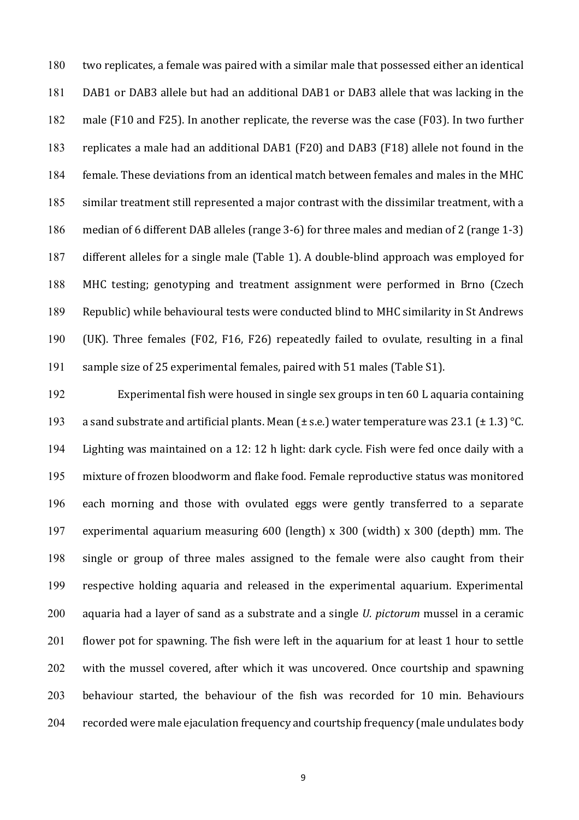180 two replicates, a female was paired with a similar male that possessed either an identical 181 DAB1 or DAB3 allele but had an additional DAB1 or DAB3 allele that was lacking in the 182 male (F10 and F25). In another replicate, the reverse was the case (F03). In two further 183 replicates a male had an additional DAB1 (F20) and DAB3 (F18) allele not found in the 184 female. These deviations from an identical match between females and males in the MHC 185 similar treatment still represented a major contrast with the dissimilar treatment, with a 186 median of 6 different DAB alleles (range 3-6) for three males and median of 2 (range 1-3) 187 different alleles for a single male (Table 1). A double-blind approach was employed for 188 MHC testing; genotyping and treatment assignment were performed in Brno (Czech 189 Republic) while behavioural tests were conducted blind to MHC similarity in St Andrews 190 (UK). Three females (F02, F16, F26) repeatedly failed to ovulate, resulting in a final 191 sample size of 25 experimental females, paired with 51 males (Table S1).

192 Experimental fish were housed in single sex groups in ten 60 L aquaria containing 193 a sand substrate and artificial plants. Mean  $(\pm$  s.e.) water temperature was 23.1 ( $\pm$  1.3) °C. 194 Lighting was maintained on a 12: 12 h light: dark cycle. Fish were fed once daily with a 195 mixture of frozen bloodworm and flake food. Female reproductive status was monitored 196 each morning and those with ovulated eggs were gently transferred to a separate 197 experimental aquarium measuring 600 (length) x 300 (width) x 300 (depth) mm. The 198 single or group of three males assigned to the female were also caught from their 199 respective holding aquaria and released in the experimental aquarium. Experimental 200 aquaria had a layer of sand as a substrate and a single *U. pictorum* mussel in a ceramic 201 flower pot for spawning. The fish were left in the aquarium for at least 1 hour to settle 202 with the mussel covered, after which it was uncovered. Once courtship and spawning 203 behaviour started, the behaviour of the fish was recorded for 10 min. Behaviours 204 recorded were male ejaculation frequency and courtship frequency (male undulates body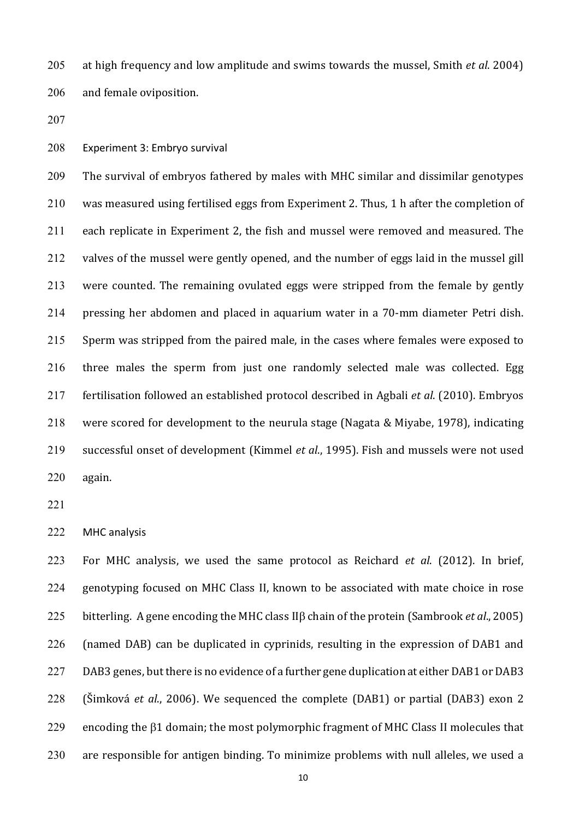205 at high frequency and low amplitude and swims towards the mussel, Smith *et al.* 2004) 206 and female oviposition.

207

208 Experiment 3: Embryo survival

209 The survival of embryos fathered by males with MHC similar and dissimilar genotypes 210 was measured using fertilised eggs from Experiment 2. Thus, 1 h after the completion of 211 each replicate in Experiment 2, the fish and mussel were removed and measured. The 212 valves of the mussel were gently opened, and the number of eggs laid in the mussel gill  $213$  were counted. The remaining ovulated eggs were stripped from the female by gently 214 pressing her abdomen and placed in aquarium water in a 70-mm diameter Petri dish. 215 Sperm was stripped from the paired male, in the cases where females were exposed to 216 three males the sperm from just one randomly selected male was collected. Egg 217 fertilisation followed an established protocol described in Agbali *et al.* (2010). Embryos 218 were scored for development to the neurula stage (Nagata & Miyabe, 1978), indicating 219 successful onset of development (Kimmel et al., 1995). Fish and mussels were not used 220 again. 

221

222 MHC analysis

223 For MHC analysis, we used the same protocol as Reichard *et al.* (2012). In brief, 224 genotyping focused on MHC Class II, known to be associated with mate choice in rose 225 bitterling. A gene encoding the MHC class II<sub>B</sub> chain of the protein (Sambrook *et al.*, 2005) 226 (named DAB) can be duplicated in cyprinids, resulting in the expression of DAB1 and 227 DAB3 genes, but there is no evidence of a further gene duplication at either DAB1 or DAB3 228 (Šimková *et al.*, 2006). We sequenced the complete (DAB1) or partial (DAB3) exon 2 229 encoding the  $\beta$ 1 domain; the most polymorphic fragment of MHC Class II molecules that  $230$  are responsible for antigen binding. To minimize problems with null alleles, we used a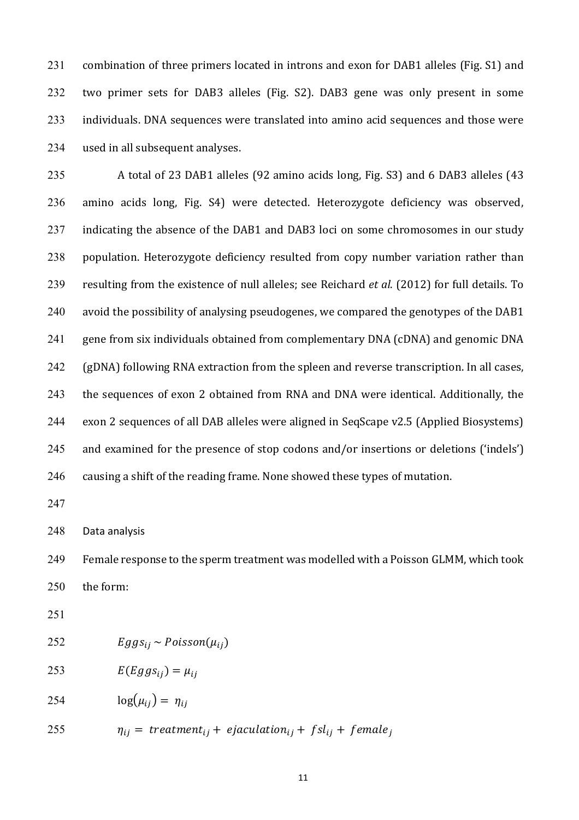231 combination of three primers located in introns and exon for DAB1 alleles (Fig. S1) and 232 two primer sets for DAB3 alleles (Fig. S2). DAB3 gene was only present in some 233 individuals. DNA sequences were translated into amino acid sequences and those were 234 used in all subsequent analyses.

235 A total of 23 DAB1 alleles (92 amino acids long, Fig. S3) and 6 DAB3 alleles (43 236 amino acids long, Fig. S4) were detected. Heterozygote deficiency was observed, 237 indicating the absence of the DAB1 and DAB3 loci on some chromosomes in our study 238 population. Heterozygote deficiency resulted from copy number variation rather than 239 resulting from the existence of null alleles; see Reichard *et al.* (2012) for full details. To 240 avoid the possibility of analysing pseudogenes, we compared the genotypes of the DAB1 241 gene from six individuals obtained from complementary DNA (cDNA) and genomic DNA 242 (gDNA) following RNA extraction from the spleen and reverse transcription. In all cases, 243 the sequences of exon 2 obtained from RNA and DNA were identical. Additionally, the 244 exon 2 sequences of all DAB alleles were aligned in SeqScape v2.5 (Applied Biosystems) 245 and examined for the presence of stop codons and/or insertions or deletions ('indels') 246 causing a shift of the reading frame. None showed these types of mutation.

247

248 Data analysis

249 Female response to the sperm treatment was modelled with a Poisson GLMM, which took 250 the form:

- 251
- 252  $Eggs_{ij} \sim Poisson(\mu_{ij})$
- 253  $E(Eggs_{ii}) = \mu_{ii}$
- 254  $log(\mu_{ij}) = \eta_{ij}$

255  $\eta_{ij} = treatment_{ij} + ejaculation_{ij} + fsl_{ij} + female_j$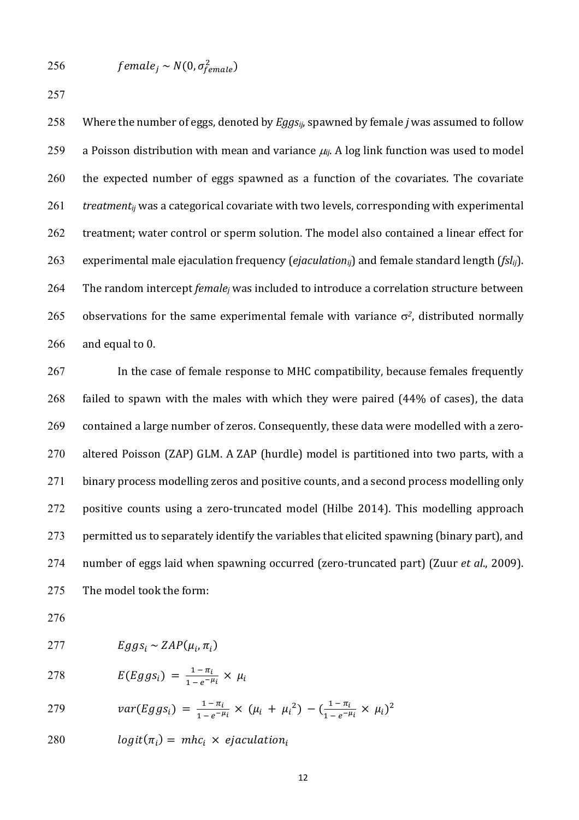$$
256 \qquad female_j \sim N(0, \sigma_{female}^2)
$$

257

258 Where the number of eggs, denoted by *Eggs<sub>ii*</sub>, spawned by female *j* was assumed to follow 259 a Poisson distribution with mean and variance  $\mu_{ij}$ . A log link function was used to model  $260$  the expected number of eggs spawned as a function of the covariates. The covariate  $261$  *treatment<sub>ij</sub>* was a categorical covariate with two levels, corresponding with experimental 262 treatment; water control or sperm solution. The model also contained a linear effect for 263 experimental male ejaculation frequency (*ejaculation<sub>ii</sub>*) and female standard length (*fsl<sub>ij</sub>*). 264 The random intercept *female<sub>i</sub>* was included to introduce a correlation structure between 265 observations for the same experimental female with variance  $\sigma^2$ , distributed normally  $266$  and equal to 0.

267 In the case of female response to MHC compatibility, because females frequently 268 failed to spawn with the males with which they were paired (44% of cases), the data 269 contained a large number of zeros. Consequently, these data were modelled with a zero-270 altered Poisson (ZAP) GLM. A ZAP (hurdle) model is partitioned into two parts, with a 271 binary process modelling zeros and positive counts, and a second process modelling only 272 positive counts using a zero-truncated model (Hilbe 2014). This modelling approach 273 permitted us to separately identify the variables that elicited spawning (binary part), and 274 number of eggs laid when spawning occurred (zero-truncated part) (Zuur *et al.*, 2009). 275 The model took the form:

276

$$
277 \tEggs_i \sim ZAP(\mu_i, \pi_i)
$$

$$
E(Eggs_i) = \frac{1-\pi_i}{1-e^{-\mu_i}} \times \mu_i
$$

279 
$$
var(Eggs_i) = \frac{1 - \pi_i}{1 - e^{-\mu_i}} \times (\mu_i + \mu_i^2) - (\frac{1 - \pi_i}{1 - e^{-\mu_i}} \times \mu_i)^2
$$

280  $logit(\pi_i) = mhc_i \times$  ejaculation,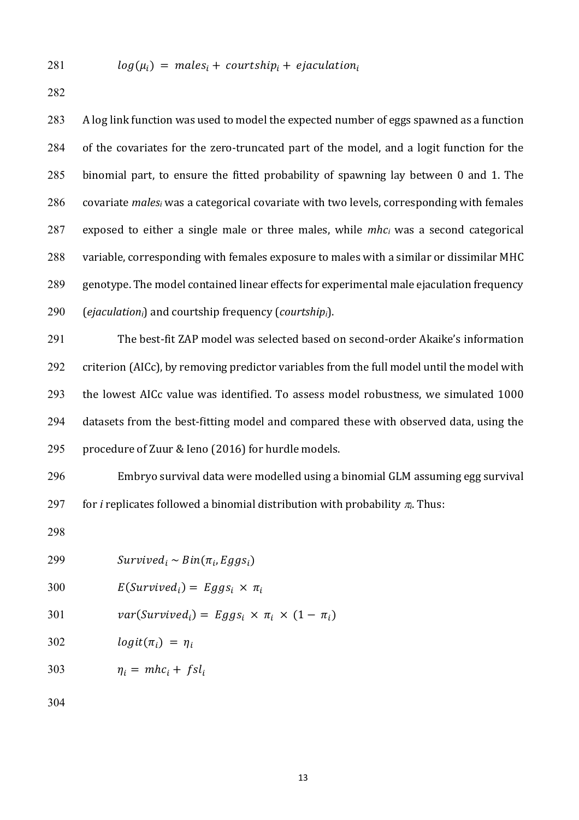281  $log(\mu_i) = males_i + courtship_i + ejaculation_i$ 

282

283 A log link function was used to model the expected number of eggs spawned as a function 284 of the covariates for the zero-truncated part of the model, and a logit function for the 285 binomial part, to ensure the fitted probability of spawning lay between 0 and 1. The 286 covariate *males<sub>i</sub>* was a categorical covariate with two levels, corresponding with females  $287$  exposed to either a single male or three males, while  $mhc_i$  was a second categorical 288 variable, corresponding with females exposure to males with a similar or dissimilar MHC 289 genotype. The model contained linear effects for experimental male ejaculation frequency 290 (*ejaculation<sub>i</sub>*) and courtship frequency (*courtship<sub>i</sub>*).

291 The best-fit ZAP model was selected based on second-order Akaike's information 292 criterion (AICc), by removing predictor variables from the full model until the model with 293 the lowest AICc value was identified. To assess model robustness, we simulated 1000 294 datasets from the best-fitting model and compared these with observed data, using the 295 procedure of Zuur & Ieno (2016) for hurdle models.

296 Embryo survival data were modelled using a binomial GLM assuming egg survival 297 for *i* replicates followed a binomial distribution with probability  $\pi$ . Thus:

298

| 299 | $Survived_i \sim Bin(\pi_i, Eggs_i)$                     |
|-----|----------------------------------------------------------|
| 300 | $E(Survivedi) = Eggsi \times \pi_i$                      |
| 301 | $var(Survivedi) = Eggsi \times \pi_i \times (1 - \pi_i)$ |
| 302 | $logit(\pi_i) = \eta_i$                                  |
| 303 | $\eta_i = mhc_i + fsl_i$                                 |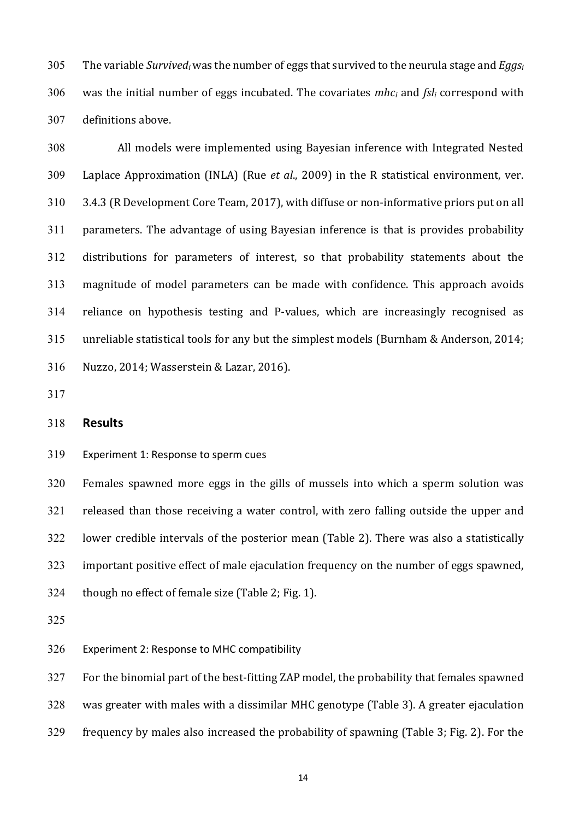305 The variable *Survived<sub>i</sub>* was the number of eggs that survived to the neurula stage and *Eggsi* 306 was the initial number of eggs incubated. The covariates  $mhc_i$  and  $fsl_i$  correspond with 307 definitions above.

308 All models were implemented using Bayesian inference with Integrated Nested 309 Laplace Approximation (INLA) (Rue *et al.*, 2009) in the R statistical environment, ver. 310 3.4.3 (R Development Core Team, 2017), with diffuse or non-informative priors put on all  $311$  parameters. The advantage of using Bayesian inference is that is provides probability 312 distributions for parameters of interest, so that probability statements about the 313 magnitude of model parameters can be made with confidence. This approach avoids 314 reliance on hypothesis testing and P-values, which are increasingly recognised as 315 unreliable statistical tools for any but the simplest models (Burnham & Anderson, 2014; 316 Nuzzo, 2014; Wasserstein & Lazar, 2016).

317

## 318 **Results**

319 Experiment 1: Response to sperm cues

320 Females spawned more eggs in the gills of mussels into which a sperm solution was 321 released than those receiving a water control, with zero falling outside the upper and 322 lower credible intervals of the posterior mean (Table 2). There was also a statistically 323 important positive effect of male ejaculation frequency on the number of eggs spawned,  $324$  though no effect of female size (Table 2; Fig. 1).

325

326 Experiment 2: Response to MHC compatibility

327 For the binomial part of the best-fitting ZAP model, the probability that females spawned

328 was greater with males with a dissimilar MHC genotype (Table 3). A greater ejaculation

329 frequency by males also increased the probability of spawning (Table 3; Fig. 2). For the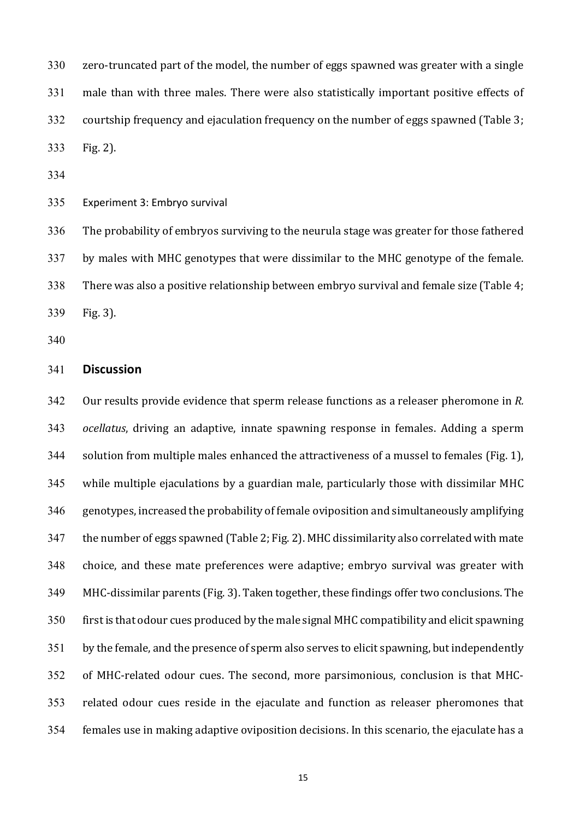330 zero-truncated part of the model, the number of eggs spawned was greater with a single 331 male than with three males. There were also statistically important positive effects of  $332$  courtship frequency and ejaculation frequency on the number of eggs spawned (Table 3; 333 Fig. 2).

334

335 Experiment 3: Embryo survival

336 The probability of embryos surviving to the neurula stage was greater for those fathered 337 by males with MHC genotypes that were dissimilar to the MHC genotype of the female.  $338$  There was also a positive relationship between embryo survival and female size (Table 4; 339 Fig. 3).

340

### 341 **Discussion**

342 Our results provide evidence that sperm release functions as a releaser pheromone in *R*. 343 *ocellatus*, driving an adaptive, innate spawning response in females. Adding a sperm 344 solution from multiple males enhanced the attractiveness of a mussel to females (Fig. 1),  $345$  while multiple ejaculations by a guardian male, particularly those with dissimilar MHC  $346$  genotypes, increased the probability of female oviposition and simultaneously amplifying  $347$  the number of eggs spawned (Table 2; Fig. 2). MHC dissimilarity also correlated with mate 348 choice, and these mate preferences were adaptive; embryo survival was greater with 349 MHC-dissimilar parents (Fig. 3). Taken together, these findings offer two conclusions. The  $350$  first is that odour cues produced by the male signal MHC compatibility and elicit spawning 351 by the female, and the presence of sperm also serves to elicit spawning, but independently 352 of MHC-related odour cues. The second, more parsimonious, conclusion is that MHC-353 related odour cues reside in the ejaculate and function as releaser pheromones that 354 females use in making adaptive oviposition decisions. In this scenario, the ejaculate has a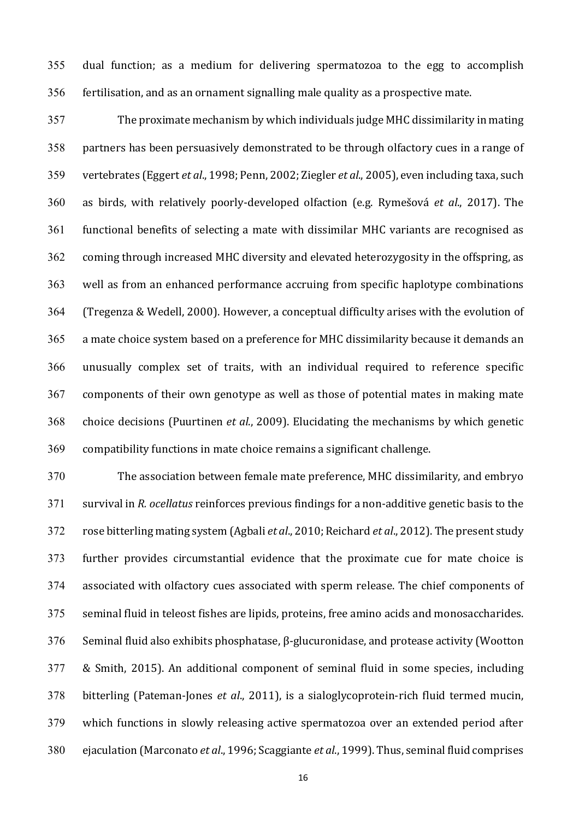$355$  dual function; as a medium for delivering spermatozoa to the egg to accomplish 356 fertilisation, and as an ornament signalling male quality as a prospective mate.

357 The proximate mechanism by which individuals judge MHC dissimilarity in mating 358 partners has been persuasively demonstrated to be through olfactory cues in a range of 359 vertebrates (Eggert *et al.*, 1998; Penn, 2002; Ziegler *et al.*, 2005), even including taxa, such 360 as birds, with relatively poorly-developed olfaction (e.g. Rymešová *et al*., 2017). The 361 functional benefits of selecting a mate with dissimilar MHC variants are recognised as 362 coming through increased MHC diversity and elevated heterozygosity in the offspring, as 363 well as from an enhanced performance accruing from specific haplotype combinations 364 (Tregenza & Wedell, 2000). However, a conceptual difficulty arises with the evolution of 365 a mate choice system based on a preference for MHC dissimilarity because it demands an 366 unusually complex set of traits, with an individual required to reference specific 367 components of their own genotype as well as those of potential mates in making mate 368 choice decisions (Puurtinen *et al.*, 2009). Elucidating the mechanisms by which genetic 369 compatibility functions in mate choice remains a significant challenge.

370 The association between female mate preference, MHC dissimilarity, and embryo 371 survival in *R. ocellatus* reinforces previous findings for a non-additive genetic basis to the 372 rose bitterling mating system (Agbali *et al.*, 2010; Reichard *et al.*, 2012). The present study 373 further provides circumstantial evidence that the proximate cue for mate choice is 374 associated with olfactory cues associated with sperm release. The chief components of 375 seminal fluid in teleost fishes are lipids, proteins, free amino acids and monosaccharides. 376 Seminal fluid also exhibits phosphatase,  $\beta$ -glucuronidase, and protease activity (Wootton 377 & Smith, 2015). An additional component of seminal fluid in some species, including 378 bitterling (Pateman-Jones *et al.*, 2011), is a sialoglycoprotein-rich fluid termed mucin, 379 which functions in slowly releasing active spermatozoa over an extended period after 380 ejaculation (Marconato *et al.*, 1996; Scaggiante *et al.*, 1999). Thus, seminal fluid comprises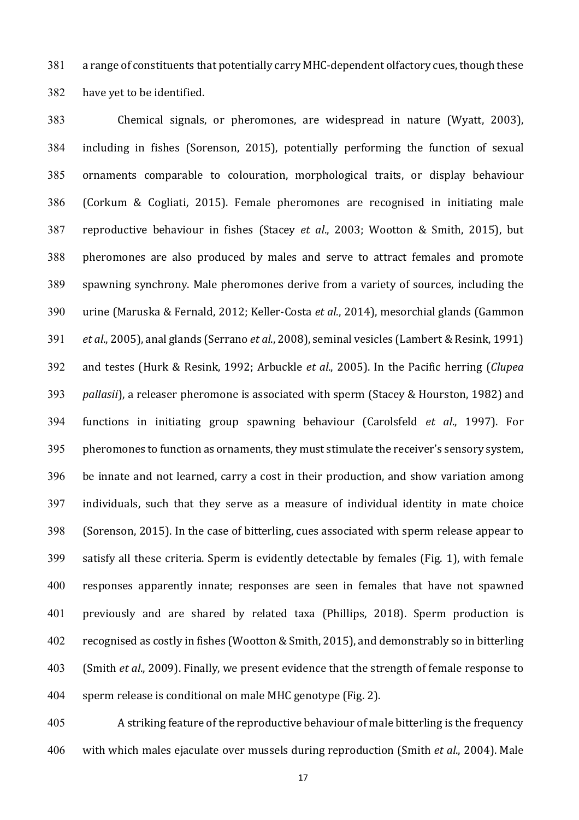381 a range of constituents that potentially carry MHC-dependent olfactory cues, though these 382 have yet to be identified.

383 Chemical signals, or pheromones, are widespread in nature (Wyatt, 2003), 384 including in fishes (Sorenson, 2015), potentially performing the function of sexual 385 ornaments comparable to colouration, morphological traits, or display behaviour 386 (Corkum & Cogliati, 2015). Female pheromones are recognised in initiating male 387 reproductive behaviour in fishes (Stacey *et al.*, 2003; Wootton & Smith, 2015), but 388 pheromones are also produced by males and serve to attract females and promote 389 spawning synchrony. Male pheromones derive from a variety of sources, including the 390 urine (Maruska & Fernald, 2012; Keller-Costa *et al.*, 2014), mesorchial glands (Gammon 391 *et al.*, 2005), anal glands (Serrano *et al.*, 2008), seminal vesicles (Lambert & Resink, 1991) 392 and testes (Hurk & Resink, 1992; Arbuckle *et al.*, 2005). In the Pacific herring (*Clupea* 393 *pallasii*), a releaser pheromone is associated with sperm (Stacey & Hourston, 1982) and 394 functions in initiating group spawning behaviour (Carolsfeld *et al.*, 1997). For 395 pheromones to function as ornaments, they must stimulate the receiver's sensory system,  $396$  be innate and not learned, carry a cost in their production, and show variation among 397 individuals, such that they serve as a measure of individual identity in mate choice 398 (Sorenson, 2015). In the case of bitterling, cues associated with sperm release appear to 399 satisfy all these criteria. Sperm is evidently detectable by females (Fig. 1), with female 400 responses apparently innate; responses are seen in females that have not spawned 401 previously and are shared by related taxa (Phillips, 2018). Sperm production is 402 recognised as costly in fishes (Wootton & Smith, 2015), and demonstrably so in bitterling 403 (Smith *et al.*, 2009). Finally, we present evidence that the strength of female response to 404 sperm release is conditional on male MHC genotype (Fig. 2).

405 A striking feature of the reproductive behaviour of male bitterling is the frequency 406 with which males ejaculate over mussels during reproduction (Smith *et al.*, 2004). Male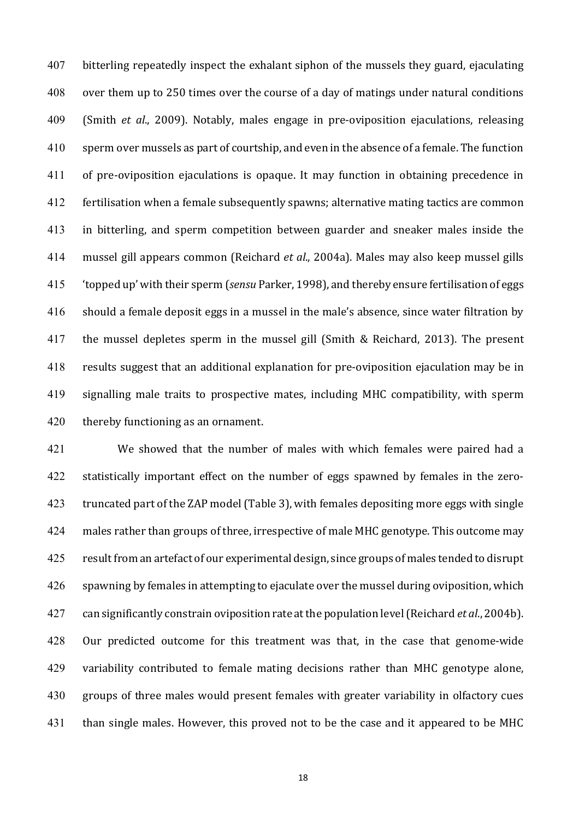407 bitterling repeatedly inspect the exhalant siphon of the mussels they guard, ejaculating 408 over them up to 250 times over the course of a day of matings under natural conditions 409 (Smith *et al.*, 2009). Notably, males engage in pre-oviposition ejaculations, releasing  $410$  sperm over mussels as part of courtship, and even in the absence of a female. The function 411 of pre-oviposition ejaculations is opaque. It may function in obtaining precedence in 412 fertilisation when a female subsequently spawns; alternative mating tactics are common 413 in bitterling, and sperm competition between guarder and sneaker males inside the 414 mussel gill appears common (Reichard *et al.*, 2004a). Males may also keep mussel gills 415 'topped up' with their sperm (*sensu* Parker, 1998), and thereby ensure fertilisation of eggs 416 should a female deposit eggs in a mussel in the male's absence, since water filtration by 417 the mussel depletes sperm in the mussel gill (Smith & Reichard, 2013). The present 418 results suggest that an additional explanation for pre-oviposition ejaculation may be in 419 signalling male traits to prospective mates, including MHC compatibility, with sperm 420 thereby functioning as an ornament.

421 We showed that the number of males with which females were paired had a 422 statistically important effect on the number of eggs spawned by females in the zero-423 truncated part of the ZAP model (Table 3), with females depositing more eggs with single 424 males rather than groups of three, irrespective of male MHC genotype. This outcome may 425 result from an artefact of our experimental design, since groups of males tended to disrupt 426 spawning by females in attempting to ejaculate over the mussel during oviposition, which 427 can significantly constrain oviposition rate at the population level (Reichard *et al.*, 2004b). 428 Our predicted outcome for this treatment was that, in the case that genome-wide 429 variability contributed to female mating decisions rather than MHC genotype alone, 430 groups of three males would present females with greater variability in olfactory cues 431 than single males. However, this proved not to be the case and it appeared to be MHC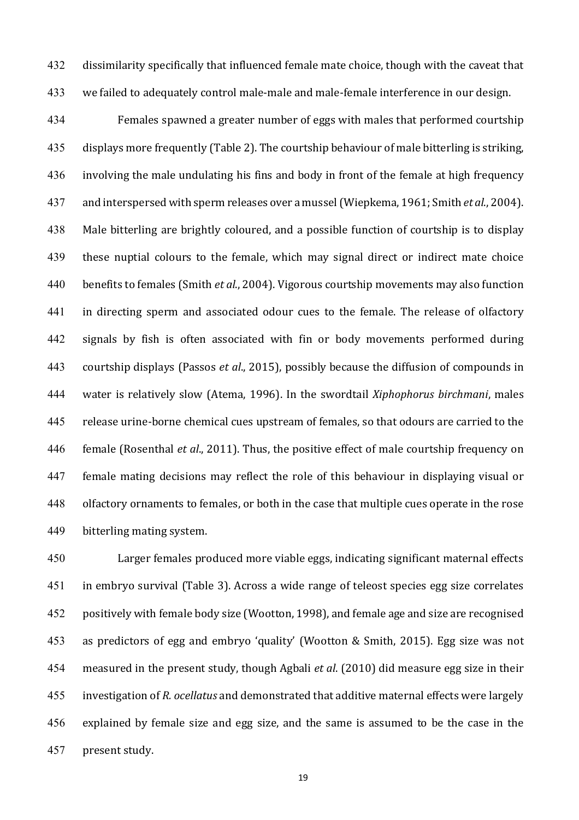432 dissimilarity specifically that influenced female mate choice, though with the caveat that 433 we failed to adequately control male-male and male-female interference in our design.

434 Females spawned a greater number of eggs with males that performed courtship  $435$  displays more frequently (Table 2). The courtship behaviour of male bitterling is striking,  $436$  involving the male undulating his fins and body in front of the female at high frequency 437 and interspersed with sperm releases over a mussel (Wiepkema, 1961; Smith *et al.*, 2004). 438 Male bitterling are brightly coloured, and a possible function of courtship is to display 439 these nuptial colours to the female, which may signal direct or indirect mate choice 440 benefits to females (Smith *et al.*, 2004). Vigorous courtship movements may also function 441 in directing sperm and associated odour cues to the female. The release of olfactory 442 signals by fish is often associated with fin or body movements performed during 443 courtship displays (Passos *et al.*, 2015), possibly because the diffusion of compounds in 444 water is relatively slow (Atema, 1996). In the swordtail *Xiphophorus birchmani*, males 445 release urine-borne chemical cues upstream of females, so that odours are carried to the 446 female (Rosenthal *et al.*, 2011). Thus, the positive effect of male courtship frequency on 447 female mating decisions may reflect the role of this behaviour in displaying visual or 448 olfactory ornaments to females, or both in the case that multiple cues operate in the rose 449 bitterling mating system.

450 Larger females produced more viable eggs, indicating significant maternal effects 451 in embryo survival (Table 3). Across a wide range of teleost species egg size correlates 452 positively with female body size (Wootton, 1998), and female age and size are recognised 453 as predictors of egg and embryo 'quality' (Wootton & Smith, 2015). Egg size was not 454 measured in the present study, though Agbali *et al.* (2010) did measure egg size in their 455 investigation of *R. ocellatus* and demonstrated that additive maternal effects were largely 456 explained by female size and egg size, and the same is assumed to be the case in the 457 present study.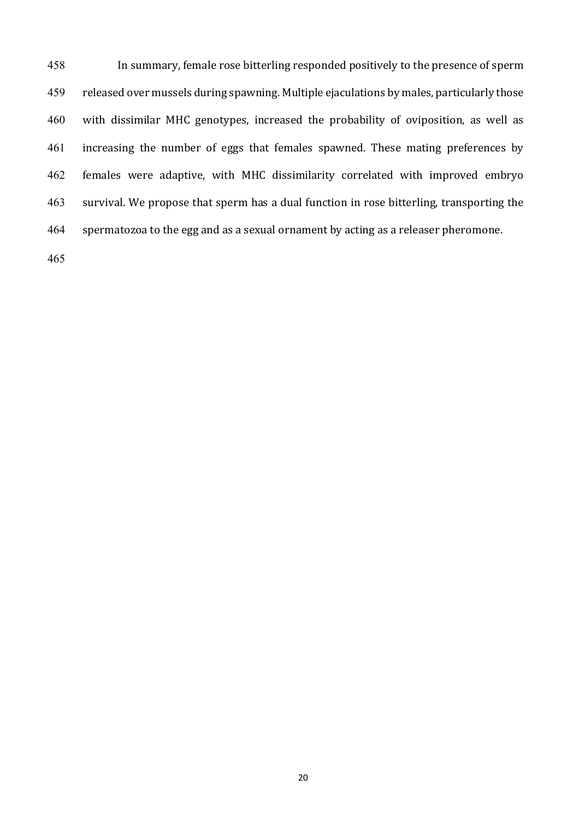458 In summary, female rose bitterling responded positively to the presence of sperm 459 released over mussels during spawning. Multiple ejaculations by males, particularly those 460 with dissimilar MHC genotypes, increased the probability of oviposition, as well as 461 increasing the number of eggs that females spawned. These mating preferences by 462 females were adaptive, with MHC dissimilarity correlated with improved embryo 463 survival. We propose that sperm has a dual function in rose bitterling, transporting the 464 spermatozoa to the egg and as a sexual ornament by acting as a releaser pheromone.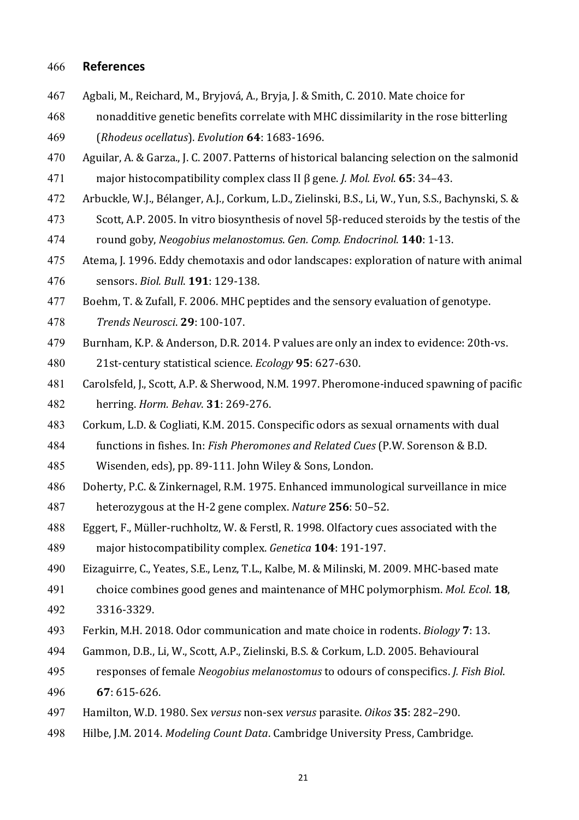### 466 **References**

- 467 Agbali, M., Reichard, M., Bryjová, A., Bryja, J. & Smith, C. 2010. Mate choice for
- 468 nonadditive genetic benefits correlate with MHC dissimilarity in the rose bitterling
- 469 (*Rhodeus ocellatus*). *Evolution* **64**: 1683-1696.
- 470 Aguilar, A. & Garza., J. C. 2007. Patterns of historical balancing selection on the salmonid 471 major histocompatibility complex class II β gene. *J. Mol. Evol*. **65**: 34–43.
- 472 Arbuckle, W.J., Bélanger, A.J., Corkum, L.D., Zielinski, B.S., Li, W., Yun, S.S., Bachynski, S. &
- 473 Scott, A.P. 2005. In vitro biosynthesis of novel  $5\beta$ -reduced steroids by the testis of the
- 474 round goby, *Neogobius melanostomus*. *Gen. Comp. Endocrinol*. **140**: 1-13.
- 475 Atema, J. 1996. Eddy chemotaxis and odor landscapes: exploration of nature with animal 476 sensors. *Biol. Bull*. **191**: 129-138.
- 477 Boehm, T. & Zufall, F. 2006. MHC peptides and the sensory evaluation of genotype.
- 478 *Trends Neurosci*. **29**: 100-107.
- 479 Burnham, K.P. & Anderson, D.R. 2014. P values are only an index to evidence: 20th-vs.
- 480 21st-century statistical science. *Ecology* **95**: 627-630.
- 481 Carolsfeld, J., Scott, A.P. & Sherwood, N.M. 1997. Pheromone-induced spawning of pacific 482 herring. *Horm. Behav*. **31**: 269-276.
- 483 Corkum, L.D. & Cogliati, K.M. 2015. Conspecific odors as sexual ornaments with dual
- 484 functions in fishes. In: *Fish Pheromones and Related Cues* (P.W. Sorenson & B.D.
- 485 Wisenden, eds), pp. 89-111. John Wiley & Sons, London.
- 486 Doherty, P.C. & Zinkernagel, R.M. 1975. Enhanced immunological surveillance in mice
- 487 heterozygous at the H-2 gene complex. *Nature* 256: 50–52.
- 488 Eggert, F., Müller-ruchholtz, W. & Ferstl, R. 1998. Olfactory cues associated with the
- 489 major histocompatibility complex. *Genetica* **104**: 191-197.
- 490 Eizaguirre, C., Yeates, S.E., Lenz, T.L., Kalbe, M. & Milinski, M. 2009. MHC-based mate
- 491 choice combines good genes and maintenance of MHC polymorphism. *Mol. Ecol.* **18**, 492 3316-3329.
- 493 Ferkin, M.H. 2018. Odor communication and mate choice in rodents. *Biology* **7**: 13.
- 494 Gammon, D.B., Li, W., Scott, A.P., Zielinski, B.S. & Corkum, L.D. 2005. Behavioural
- 495 responses of female *Neogobius melanostomus* to odours of conspecifics. *J. Fish Biol.* 496 **67**: 615-626.
- 497 Hamilton, W.D. 1980. Sex *versus* non-sex *versus* parasite. *Oikos* **35**: 282–290.
- 498 Hilbe, J.M. 2014. *Modeling Count Data*. Cambridge University Press, Cambridge.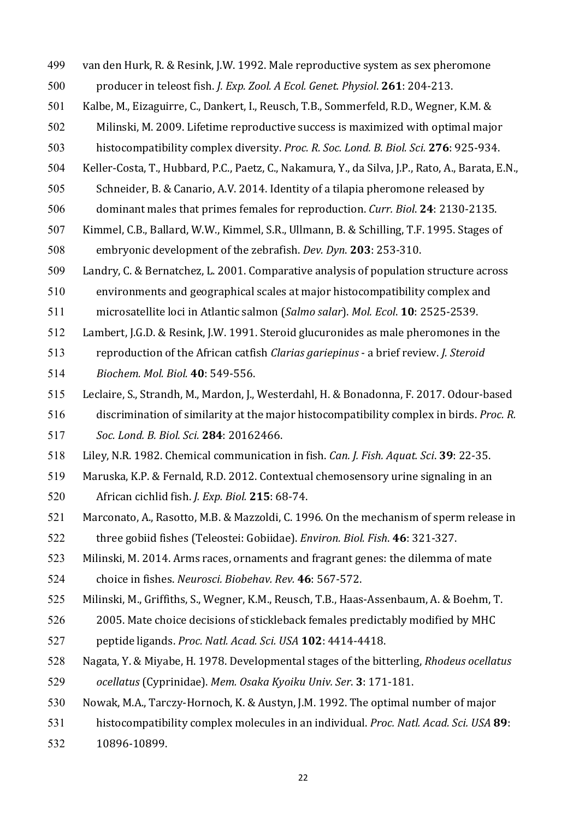- 499 van den Hurk, R. & Resink, J.W. 1992. Male reproductive system as sex pheromone
- 500 producer in teleost fish. *J. Exp. Zool. A Ecol. Genet. Physiol.* **261**: 204-213.
- 501 Kalbe, M., Eizaguirre, C., Dankert, I., Reusch, T.B., Sommerfeld, R.D., Wegner, K.M. &

502 Milinski, M. 2009. Lifetime reproductive success is maximized with optimal major

- 503 histocompatibility complex diversity. *Proc. R. Soc. Lond. B. Biol. Sci.* 276: 925-934.
- 504 Keller-Costa, T., Hubbard, P.C., Paetz, C., Nakamura, Y., da Silva, J.P., Rato, A., Barata, E.N.,
- 505 Schneider, B. & Canario, A.V. 2014. Identity of a tilapia pheromone released by
- 506 dominant males that primes females for reproduction. *Curr. Biol.* **24**: 2130-2135.
- 507 Kimmel, C.B., Ballard, W.W., Kimmel, S.R., Ullmann, B. & Schilling, T.F. 1995. Stages of 508 embryonic development of the zebrafish. *Dev. Dyn.* **203**: 253-310.

509 Landry, C. & Bernatchez, L. 2001. Comparative analysis of population structure across

510 environments and geographical scales at major histocompatibility complex and

- 511 microsatellite loci in Atlantic salmon (*Salmo salar*). *Mol. Ecol*. **10**: 2525-2539.
- 512 Lambert, J.G.D. & Resink, J.W. 1991. Steroid glucuronides as male pheromones in the
- 513 reproduction of the African catfish *Clarias gariepinus* a brief review. *J. Steroid*
- 514 *Biochem. Mol. Biol.* **40**: 549-556.
- 515 Leclaire, S., Strandh, M., Mardon, J., Westerdahl, H. & Bonadonna, F. 2017. Odour-based
- 516 discrimination of similarity at the major histocompatibility complex in birds. *Proc. R.*
- 517 *Soc. Lond. B. Biol. Sci.* **284**: 20162466.
- 518 Liley, N.R. 1982. Chemical communication in fish. *Can. J. Fish. Aquat. Sci.* 39: 22-35.
- 519 Maruska, K.P. & Fernald, R.D. 2012. Contextual chemosensory urine signaling in an
- 520 African cichlid fish. *J. Exp. Biol.* **215**: 68-74.
- 521 Marconato, A., Rasotto, M.B. & Mazzoldi, C. 1996. On the mechanism of sperm release in 522 three gobiid fishes (Teleostei: Gobiidae). *Environ. Biol. Fish.* 46: 321-327.

523 Milinski, M. 2014. Arms races, ornaments and fragrant genes: the dilemma of mate

- 524 choice in fishes. *Neurosci. Biobehav. Rev.* 46: 567-572.
- 525 Milinski, M., Griffiths, S., Wegner, K.M., Reusch, T.B., Haas-Assenbaum, A. & Boehm, T.
- 526 2005. Mate choice decisions of stickleback females predictably modified by MHC
- 527 peptide ligands. *Proc. Natl. Acad. Sci. USA* **102**: 4414-4418.
- 528 Nagata, Y. & Miyabe, H. 1978. Developmental stages of the bitterling, *Rhodeus ocellatus*
- 529 *ocellatus* (Cyprinidae). *Mem. Osaka Kyoiku Univ. Ser*. **3**: 171-181.
- 530 Nowak, M.A., Tarczy-Hornoch, K. & Austyn, J.M. 1992. The optimal number of major
- 531 histocompatibility complex molecules in an individual. *Proc. Natl. Acad. Sci. USA* 89:
- 532 10896-10899.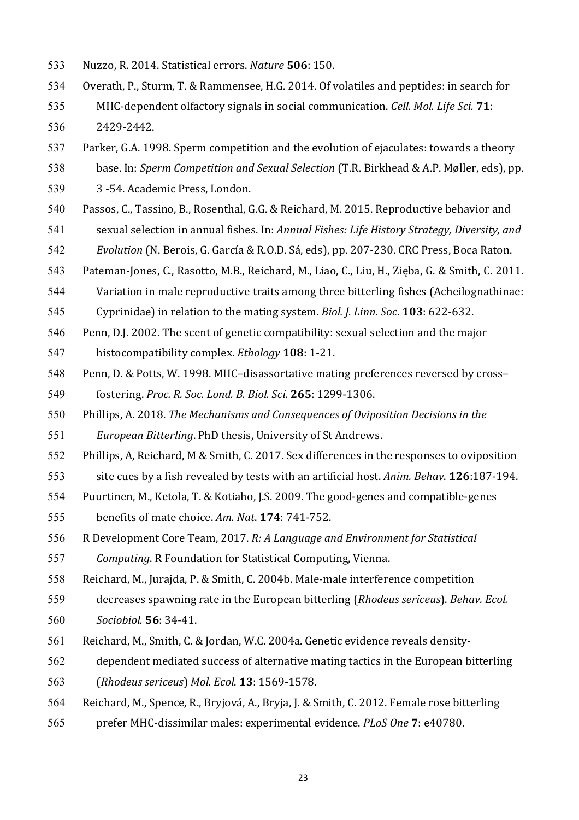- 533 Nuzzo, R. 2014. Statistical errors. *Nature* **506**: 150.
- 534 Overath, P., Sturm, T. & Rammensee, H.G. 2014. Of volatiles and peptides: in search for
- 535 MHC-dependent olfactory signals in social communication. *Cell. Mol. Life Sci.* **71**:
- 536 2429-2442.
- 537 Parker, G.A. 1998. Sperm competition and the evolution of ejaculates: towards a theory
- 538 base. In: *Sperm Competition and Sexual Selection* (T.R. Birkhead & A.P. Møller, eds), pp.
- 539 3 -54. Academic Press, London.
- 540 Passos, C., Tassino, B., Rosenthal, G.G. & Reichard, M. 2015. Reproductive behavior and
- 541 sexual selection in annual fishes. In: *Annual Fishes: Life History Strategy, Diversity, and*
- 542 *Evolution* (N. Berois, G. García & R.O.D. Sá, eds), pp. 207-230. CRC Press, Boca Raton.
- 543 Pateman-Jones, C., Rasotto, M.B., Reichard, M., Liao, C., Liu, H., Zięba, G. & Smith, C. 2011.
- 544 Variation in male reproductive traits among three bitterling fishes (Acheilognathinae:
- 545 Cyprinidae) in relation to the mating system. *Biol. J. Linn. Soc.* **103**: 622-632.
- 546 Penn, D.J. 2002. The scent of genetic compatibility: sexual selection and the major
- 547 histocompatibility complex. *Ethology* **108**: 1-21.
- 548 Penn, D. & Potts, W. 1998. MHC-disassortative mating preferences reversed by cross-549 fostering. *Proc. R. Soc. Lond. B. Biol. Sci.* **265**: 1299-1306.
- 550 Phillips, A. 2018. *The Mechanisms and Consequences of Oviposition Decisions in the*

551 *European Bitterling*. PhD thesis, University of St Andrews.

- 552 Phillips, A, Reichard, M & Smith, C. 2017. Sex differences in the responses to oviposition
- 553 site cues by a fish revealed by tests with an artificial host. Anim. Behav. **126**:187-194.
- 554 Puurtinen, M., Ketola, T. & Kotiaho, J.S. 2009. The good-genes and compatible-genes
- 555 benefits of mate choice. *Am. Nat.* **174**: 741-752.
- 556 R Development Core Team, 2017. *R: A Language and Environment for Statistical*
- 557 *Computing*. R Foundation for Statistical Computing, Vienna.
- 558 Reichard, M., Jurajda, P. & Smith, C. 2004b. Male-male interference competition
- 559 decreases spawning rate in the European bitterling (*Rhodeus sericeus*). *Behav. Ecol.*
- 560 *Sociobiol.* **56**: 34-41.
- 561 Reichard, M., Smith, C. & Jordan, W.C. 2004a. Genetic evidence reveals density-
- 562 dependent mediated success of alternative mating tactics in the European bitterling
- 563 (*Rhodeus sericeus*) *Mol. Ecol*. **13**: 1569-1578.
- 564 Reichard, M., Spence, R., Brviová, A., Brvia, J. & Smith, C. 2012. Female rose bitterling
- 565 prefer MHC-dissimilar males: experimental evidence. *PLoS One* **7**: e40780.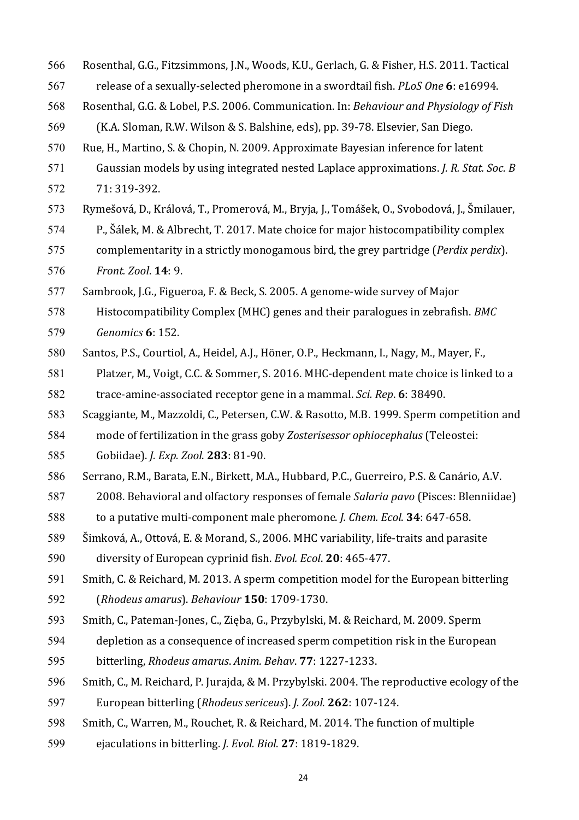- 566 Rosenthal, G.G., Fitzsimmons, J.N., Woods, K.U., Gerlach, G. & Fisher, H.S. 2011. Tactical
- 567 release of a sexually-selected pheromone in a swordtail fish. *PLoS One* 6: e16994.
- 568 Rosenthal, G.G. & Lobel, P.S. 2006. Communication. In: *Behaviour and Physiology of Fish*
- 569 (K.A. Sloman, R.W. Wilson & S. Balshine, eds), pp. 39-78. Elsevier, San Diego.
- 570 Rue, H., Martino, S. & Chopin, N. 2009. Approximate Bayesian inference for latent
- 571 Gaussian models by using integrated nested Laplace approximations. *J. R. Stat. Soc. B* 572 71: 319-392.
- 573 Rymešová, D., Králová, T., Promerová, M., Bryja, J., Tomášek, O., Svobodová, J., Šmilauer,
- 574 P., Šálek, M. & Albrecht, T. 2017. Mate choice for major histocompatibility complex
- 575 complementarity in a strictly monogamous bird, the grey partridge (*Perdix perdix*).
- 576 *Front. Zool*. **14**: 9.
- 577 Sambrook, J.G., Figueroa, F. & Beck, S. 2005. A genome-wide survey of Major
- 578 Histocompatibility Complex (MHC) genes and their paralogues in zebrafish. *BMC* 579 *Genomics* **6**: 152.
- 580 Santos, P.S., Courtiol, A., Heidel, A.J., Höner, O.P., Heckmann, I., Nagy, M., Mayer, F.,
- 581 Platzer, M., Voigt, C.C. & Sommer, S. 2016. MHC-dependent mate choice is linked to a 582 trace-amine-associated receptor gene in a mammal. *Sci. Rep.* 6: 38490.
- 583 Scaggiante, M., Mazzoldi, C., Petersen, C.W. & Rasotto, M.B. 1999. Sperm competition and
- 584 mode of fertilization in the grass goby *Zosterisessor ophiocephalus* (Teleostei:
- 585 Gobiidae). *J. Exp. Zool*. **283**: 81-90.
- 586 Serrano, R.M., Barata, E.N., Birkett, M.A., Hubbard, P.C., Guerreiro, P.S. & Canário, A.V.
- 587 2008. Behavioral and olfactory responses of female *Salaria pavo* (Pisces: Blenniidae)
- 588 to a putative multi-component male pheromone. *J. Chem. Ecol.* **34**: 647-658.
- 589 Šimková, A., Ottová, E. & Morand, S., 2006. MHC variability, life-traits and parasite
- 590 diversity of European cyprinid fish. *Evol. Ecol*. **20**: 465-477.
- 591 Smith, C. & Reichard, M. 2013. A sperm competition model for the European bitterling
- 592 (*Rhodeus amarus*). *Behaviour* **150**: 1709-1730.
- 593 Smith, C., Pateman-Jones, C., Zięba, G., Przybylski, M. & Reichard, M. 2009. Sperm
- 594 depletion as a consequence of increased sperm competition risk in the European
- 595 bitterling, *Rhodeus amarus*. *Anim. Behav*. **77**: 1227-1233.
- 596 Smith, C., M. Reichard, P. Jurajda, & M. Przybylski. 2004. The reproductive ecology of the
- 597 European bitterling (*Rhodeus sericeus*). *J. Zool*. **262**: 107-124.
- 598 Smith, C., Warren, M., Rouchet, R. & Reichard, M. 2014. The function of multiple
- 599 ejaculations in bitterling. *J. Evol. Biol.* 27: 1819-1829.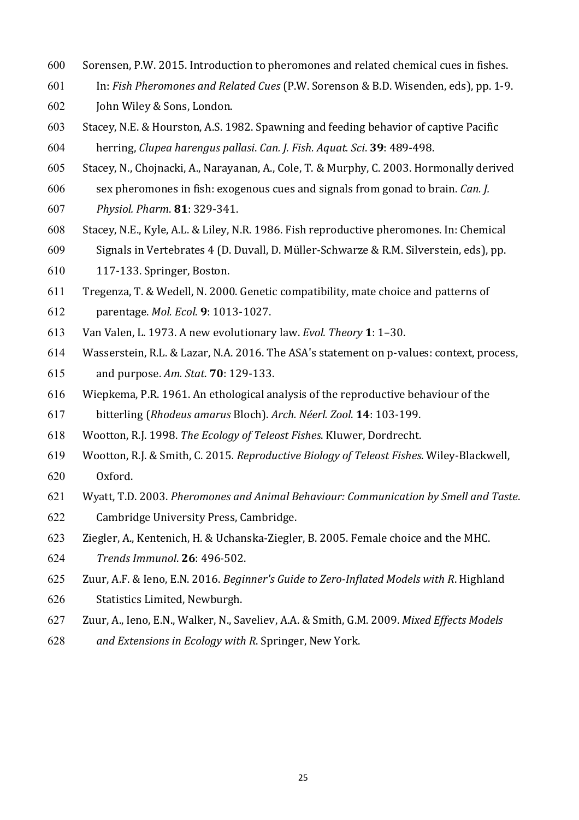- 600 Sorensen, P.W. 2015. Introduction to pheromones and related chemical cues in fishes.
- 601 In: *Fish Pheromones and Related Cues* (P.W. Sorenson & B.D. Wisenden, eds), pp. 1-9.
- 602 John Wiley & Sons, London.
- 603 Stacey, N.E. & Hourston, A.S. 1982. Spawning and feeding behavior of captive Pacific 604 herring, *Clupea harengus pallasi*. *Can. J. Fish. Aquat. Sci*. **39**: 489-498.
- 605 Stacey, N., Chojnacki, A., Narayanan, A., Cole, T. & Murphy, C. 2003. Hormonally derived
- 606 sex pheromones in fish: exogenous cues and signals from gonad to brain. *Can. J.*
- 607 *Physiol. Pharm*. **81**: 329-341.
- 608 Stacey, N.E., Kyle, A.L. & Liley, N.R. 1986. Fish reproductive pheromones. In: Chemical
- 609 Signals in Vertebrates 4 (D. Duvall, D. Müller-Schwarze & R.M. Silverstein, eds), pp.
- 610 117-133. Springer, Boston.
- 611 Tregenza, T. & Wedell, N. 2000. Genetic compatibility, mate choice and patterns of
- 612 parentage. *Mol. Ecol*. **9**: 1013-1027.
- 613 Van Valen, L. 1973. A new evolutionary law. *Evol. Theory* **1**: 1–30.
- 614 Wasserstein, R.L. & Lazar, N.A. 2016. The ASA's statement on p-values: context, process,
- 615 and purpose. *Am. Stat*. **70**: 129-133.
- 616 Wiepkema, P.R. 1961. An ethological analysis of the reproductive behaviour of the 617 bitterling (*Rhodeus amarus Bloch*). Arch. Néerl. Zool. 14: 103-199.
- 618 Wootton, R.J. 1998. *The Ecology of Teleost Fishes*. Kluwer, Dordrecht.
- 619 Wootton, R.J. & Smith, C. 2015*. Reproductive Biology of Teleost Fishes*. Wiley-Blackwell, 620 Oxford.
- 621 Wyatt, T.D. 2003. *Pheromones and Animal Behaviour: Communication by Smell and Taste*.
- 622 Cambridge University Press, Cambridge.
- 623 Ziegler, A., Kentenich, H. & Uchanska-Ziegler, B. 2005. Female choice and the MHC.
- 624 *Trends Immunol*. **26**: 496-502.
- 625 Zuur, A.F. & Ieno, E.N. 2016. *Beginner's Guide to Zero-Inflated Models with R. Highland*
- 626 Statistics Limited, Newburgh.
- 627 Zuur, A., Ieno, E.N., Walker, N., Saveliev, A.A. & Smith, G.M. 2009. *Mixed Effects Models*
- 628 *and Extensions in Ecology with R. Springer, New York.*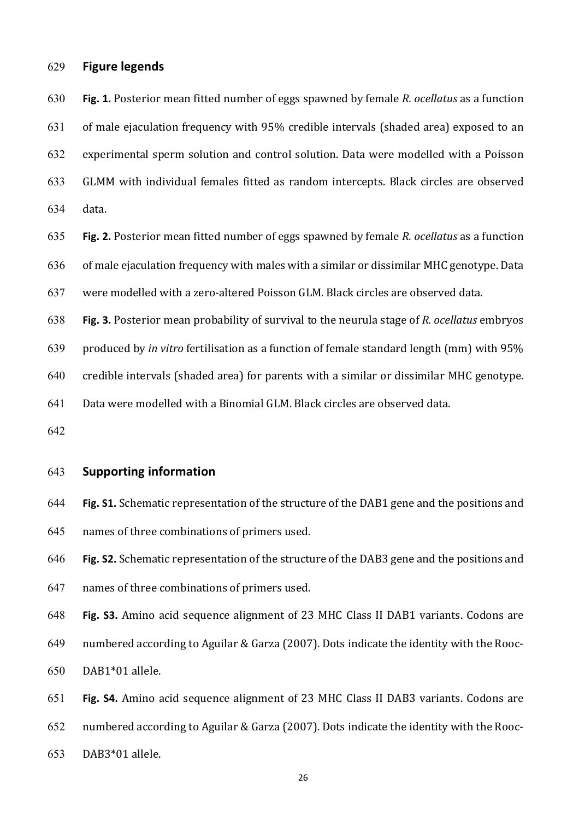### 629 **Figure legends**

630 **Fig. 1.** Posterior mean fitted number of eggs spawned by female *R. ocellatus* as a function

 $631$  of male ejaculation frequency with  $95\%$  credible intervals (shaded area) exposed to an

632 experimental sperm solution and control solution. Data were modelled with a Poisson

- 633 GLMM with individual females fitted as random intercepts. Black circles are observed
- 634 data.

635 **Fig. 2.** Posterior mean fitted number of eggs spawned by female R. ocellatus as a function

 $636$  of male ejaculation frequency with males with a similar or dissimilar MHC genotype. Data

- 637 were modelled with a zero-altered Poisson GLM. Black circles are observed data.
- 638 **Fig. 3.** Posterior mean probability of survival to the neurula stage of *R. ocellatus* embryos

639 produced by *in vitro* fertilisation as a function of female standard length (mm) with 95%

640 credible intervals (shaded area) for parents with a similar or dissimilar MHC genotype.

641 Data were modelled with a Binomial GLM. Black circles are observed data.

642

### 643 **Supporting information**

- 644 **Fig. S1.** Schematic representation of the structure of the DAB1 gene and the positions and 645 names of three combinations of primers used.
- 646 **Fig. S2.** Schematic representation of the structure of the DAB3 gene and the positions and
- 647 names of three combinations of primers used.

648 **Fig. S3.** Amino acid sequence alignment of 23 MHC Class II DAB1 variants. Codons are

649 numbered according to Aguilar & Garza (2007). Dots indicate the identity with the Rooc-650 DAB1\*01 allele.

651 **Fig. S4.** Amino acid sequence alignment of 23 MHC Class II DAB3 variants. Codons are

- 652 numbered according to Aguilar & Garza (2007). Dots indicate the identity with the Rooc-
- 653 DAB3\*01 allele.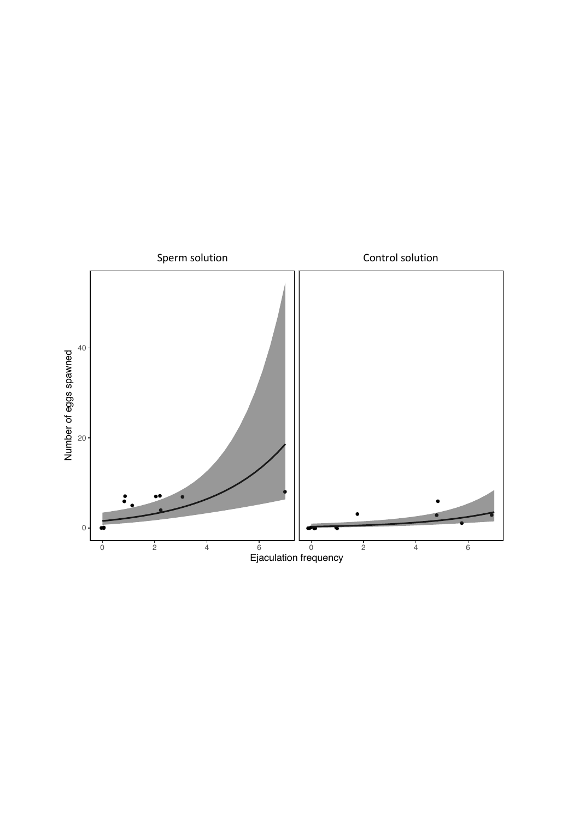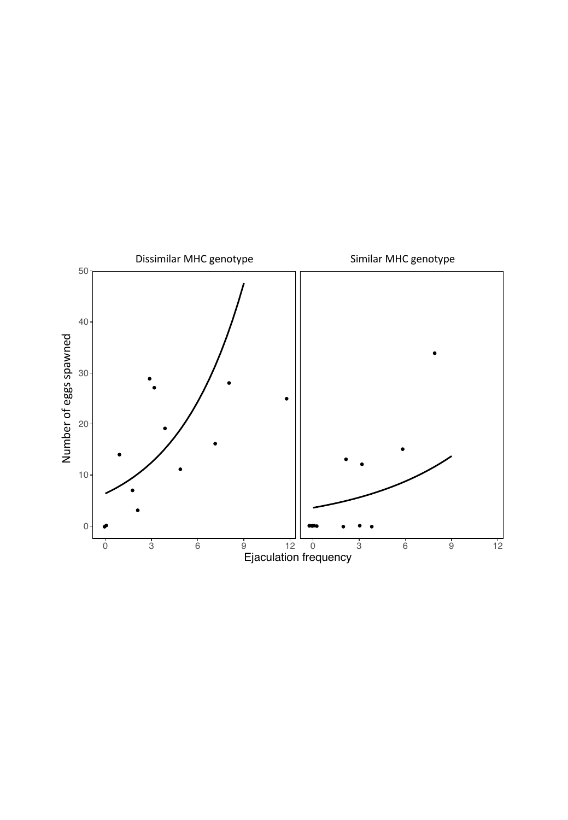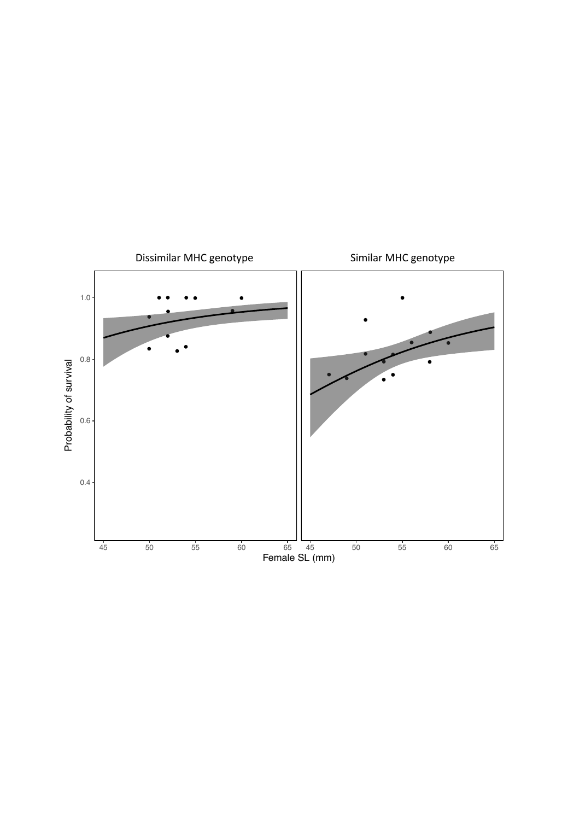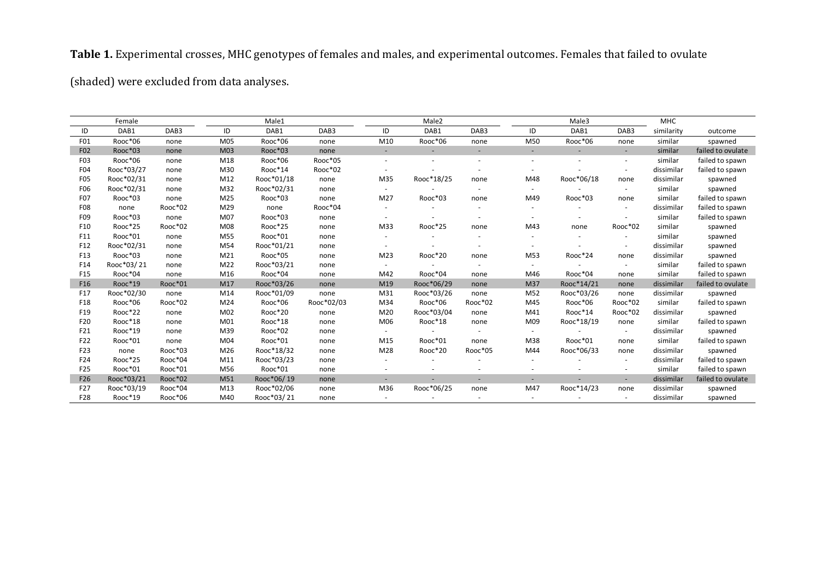# Table 1. Experimental crosses, MHC genotypes of females and males, and experimental outcomes. Females that failed to ovulate

(shaded) were excluded from data analyses.

|                  | Female     |                  |     | Male1      |                  |                          | Male2                    |                          |                          | Male3      |                          | <b>MHC</b> |                   |
|------------------|------------|------------------|-----|------------|------------------|--------------------------|--------------------------|--------------------------|--------------------------|------------|--------------------------|------------|-------------------|
| ID               | DAB1       | DAB <sub>3</sub> | ID  | DAB1       | DAB <sub>3</sub> | ID                       | DAB1                     | DAB3                     | ID                       | DAB1       | DAB3                     | similarity | outcome           |
| F01              | Rooc*06    | none             | M05 | Rooc*06    | none             | M10                      | Rooc*06                  | none                     | M50                      | Rooc*06    | none                     | similar    | spawned           |
| F <sub>02</sub>  | Rooc*03    | none             | M03 | Rooc*03    | none             | $\sim$                   |                          |                          | $\overline{\phantom{a}}$ |            | $\overline{\phantom{a}}$ | similar    | failed to ovulate |
| F <sub>0</sub> 3 | Rooc*06    | none             | M18 | Rooc*06    | Rooc*05          |                          |                          | $\overline{\phantom{a}}$ |                          |            | $\overline{\phantom{a}}$ | similar    | failed to spawn   |
| F04              | Rooc*03/27 | none             | M30 | Rooc*14    | Rooc*02          |                          |                          |                          |                          |            |                          | dissimilar | failed to spawn   |
| F <sub>0</sub> 5 | Rooc*02/31 | none             | M12 | Rooc*01/18 | none             | M35                      | Rooc*18/25               | none                     | M48                      | Rooc*06/18 | none                     | dissimilar | spawned           |
| F06              | Rooc*02/31 | none             | M32 | Rooc*02/31 | none             | $\sim$                   |                          | $\overline{\phantom{a}}$ | $\sim$                   |            | $\sim$                   | similar    | spawned           |
| F07              | Rooc*03    | none             | M25 | Rooc*03    | none             | M27                      | Rooc*03                  | none                     | M49                      | Rooc*03    | none                     | similar    | failed to spawn   |
| F08              | none       | Rooc*02          | M29 | none       | Rooc*04          | $\sim$                   |                          | $\overline{\phantom{a}}$ | $\sim$                   |            | $\overline{\phantom{a}}$ | dissimilar | failed to spawn   |
| F09              | Rooc*03    | none             | M07 | Rooc*03    | none             | $\overline{\phantom{a}}$ |                          | $\overline{\phantom{a}}$ | $\overline{\phantom{a}}$ |            | $\sim$                   | similar    | failed to spawn   |
| F10              | Rooc*25    | Rooc*02          | M08 | Rooc*25    | none             | M33                      | Rooc*25                  | none                     | M43                      | none       | Rooc*02                  | similar    | spawned           |
| F11              | Rooc*01    | none             | M55 | Rooc*01    | none             |                          |                          |                          |                          |            |                          | similar    | spawned           |
| F12              | Rooc*02/31 | none             | M54 | Rooc*01/21 | none             |                          |                          |                          |                          |            |                          | dissimilar | spawned           |
| F13              | Rooc*03    | none             | M21 | Rooc*05    | none             | M23                      | Rooc*20                  | none                     | M53                      | Rooc*24    | none                     | dissimilar | spawned           |
| F14              | Rooc*03/21 | none             | M22 | Rooc*03/21 | none             |                          |                          | $\overline{\phantom{a}}$ | $\sim$                   |            | $\sim$                   | similar    | failed to spawn   |
| F <sub>15</sub>  | Rooc*04    | none             | M16 | Rooc*04    | none             | M42                      | Rooc*04                  | none                     | M46                      | Rooc*04    | none                     | similar    | failed to spawn   |
| F <sub>16</sub>  | Rooc*19    | Rooc*01          | M17 | Rooc*03/26 | none             | M19                      | Rooc*06/29               | none                     | M37                      | Rooc*14/21 | none                     | dissimilar | failed to ovulate |
| F17              | Rooc*02/30 | none             | M14 | Rooc*01/09 | none             | M31                      | Rooc*03/26               | none                     | M52                      | Rooc*03/26 | none                     | dissimilar | spawned           |
| F18              | Rooc*06    | Rooc*02          | M24 | Rooc*06    | Rooc*02/03       | M34                      | Rooc*06                  | Rooc*02                  | M45                      | Rooc*06    | Rooc*02                  | similar    | failed to spawn   |
| F19              | Rooc*22    | none             | M02 | Rooc*20    | none             | M20                      | Rooc*03/04               | none                     | M41                      | Rooc*14    | Rooc*02                  | dissimilar | spawned           |
| F20              | Rooc*18    | none             | M01 | Rooc*18    | none             | M06                      | Rooc*18                  | none                     | M09                      | Rooc*18/19 | none                     | similar    | failed to spawn   |
| F21              | Rooc*19    | none             | M39 | Rooc*02    | none             | $\overline{\phantom{a}}$ | $\overline{\phantom{a}}$ | $\overline{\phantom{a}}$ | $\sim$                   |            | $\sim$                   | dissimilar | spawned           |
| F22              | Rooc*01    | none             | M04 | Rooc*01    | none             | M15                      | Rooc*01                  | none                     | M38                      | Rooc*01    | none                     | similar    | failed to spawn   |
| F23              | none       | Rooc*03          | M26 | Rooc*18/32 | none             | M28                      | Rooc*20                  | Rooc*05                  | M44                      | Rooc*06/33 | none                     | dissimilar | spawned           |
| F24              | Rooc*25    | Rooc*04          | M11 | Rooc*03/23 | none             |                          |                          |                          |                          |            | $\overline{\phantom{a}}$ | dissimilar | failed to spawn   |
| F <sub>25</sub>  | Rooc*01    | Rooc*01          | M56 | Rooc*01    | none             |                          |                          |                          |                          |            | $\overline{\phantom{a}}$ | similar    | failed to spawn   |
| F26              | Rooc*03/21 | Rooc*02          | M51 | Rooc*06/19 | none             |                          |                          |                          | $\overline{\phantom{a}}$ |            | $\overline{\phantom{a}}$ | dissimilar | failed to ovulate |
| F27              | Rooc*03/19 | Rooc*04          | M13 | Rooc*02/06 | none             | M36                      | Rooc*06/25               | none                     | M47                      | Rooc*14/23 | none                     | dissimilar | spawned           |
| F28              | Rooc*19    | Rooc*06          | M40 | Rooc*03/21 | none             |                          |                          | $\overline{\phantom{a}}$ |                          |            |                          | dissimilar | spawned           |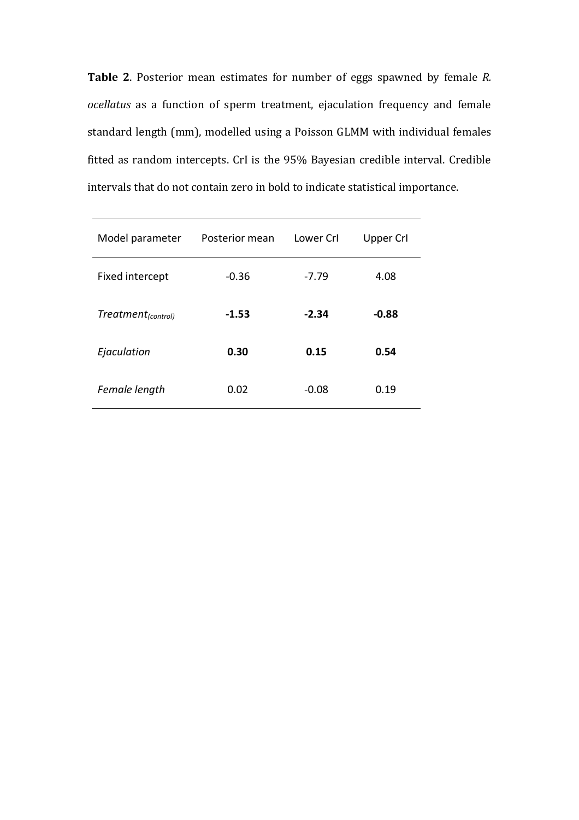**Table 2.** Posterior mean estimates for number of eggs spawned by female *R*. *ocellatus* as a function of sperm treatment, ejaculation frequency and female standard length (mm), modelled using a Poisson GLMM with individual females fitted as random intercepts. CrI is the 95% Bayesian credible interval. Credible intervals that do not contain zero in bold to indicate statistical importance.

| Model parameter                | Posterior mean | Lower Crl | <b>Upper Crl</b> |
|--------------------------------|----------------|-----------|------------------|
| Fixed intercept                | $-0.36$        | $-7.79$   | 4.08             |
| Treatment <sub>(control)</sub> | $-1.53$        | $-2.34$   | $-0.88$          |
| Ejaculation                    | 0.30           | 0.15      | 0.54             |
| Female length                  | 0.02           | $-0.08$   | 0.19             |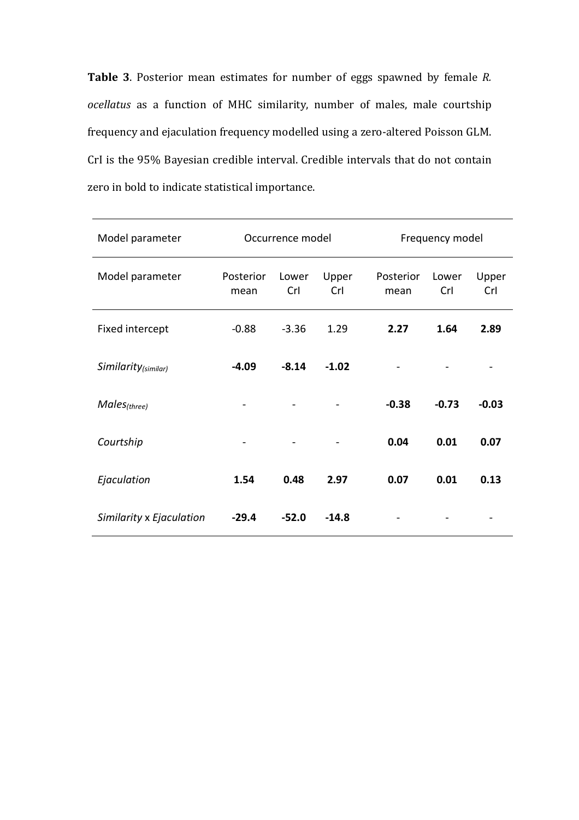**Table 3**. Posterior mean estimates for number of eggs spawned by female *R*. *ocellatus* as a function of MHC similarity, number of males, male courtship frequency and ejaculation frequency modelled using a zero-altered Poisson GLM. CrI is the 95% Bayesian credible interval. Credible intervals that do not contain zero in bold to indicate statistical importance.

| Model parameter          |                   | Occurrence model |              | Frequency model   |              |              |  |
|--------------------------|-------------------|------------------|--------------|-------------------|--------------|--------------|--|
| Model parameter          | Posterior<br>mean | Lower<br>Crl     | Upper<br>Crl | Posterior<br>mean | Lower<br>Crl | Upper<br>Crl |  |
| Fixed intercept          | $-0.88$           | $-3.36$          | 1.29         | 2.27              | 1.64         | 2.89         |  |
| Similarity(similar)      | $-4.09$           | $-8.14$          | $-1.02$      |                   |              |              |  |
| $Males_{(three)}$        |                   |                  |              | $-0.38$           | $-0.73$      | $-0.03$      |  |
| Courtship                |                   |                  |              | 0.04              | 0.01         | 0.07         |  |
| Ejaculation              | 1.54              | 0.48             | 2.97         | 0.07              | 0.01         | 0.13         |  |
| Similarity x Ejaculation | $-29.4$           | $-52.0$          | $-14.8$      |                   |              |              |  |